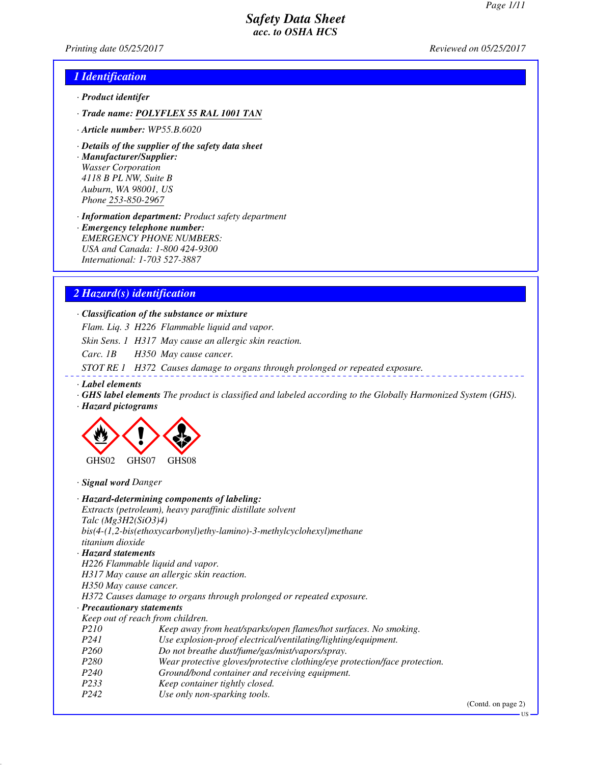*Printing date 05/25/2017 Reviewed on 05/25/2017*

# *1 Identification*

- *· Product identifer*
- *· Trade name: POLYFLEX 55 RAL 1001 TAN*
- *· Article number: WP55.B.6020*
- *· Details of the supplier of the safety data sheet*

*· Manufacturer/Supplier: Wasser Corporation 4118 B PL NW, Suite B Auburn, WA 98001, US Phone 253-850-2967*

*· Information department: Product safety department*

*· Emergency telephone number: EMERGENCY PHONE NUMBERS: USA and Canada: 1-800 424-9300 International: 1-703 527-3887*

# *2 Hazard(s) identification*

### *· Classification of the substance or mixture*

*Flam. Liq. 3 H226 Flammable liquid and vapor.*

*Skin Sens. 1 H317 May cause an allergic skin reaction.*

*Carc. 1B H350 May cause cancer.*

*STOT RE 1 H372 Causes damage to organs through prolonged or repeated exposure.*

- *· Label elements*
- *· GHS label elements The product is classified and labeled according to the Globally Harmonized System (GHS).*
- *· Hazard pictograms*



*· Signal word Danger*

|                                  | · Hazard-determining components of labeling:                               |
|----------------------------------|----------------------------------------------------------------------------|
|                                  | Extracts (petroleum), heavy paraffinic distillate solvent                  |
| Talc $(Mg3H2(SiO3)4)$            |                                                                            |
|                                  | $bis(4-(1,2-bis(ethoxycarbonyl)ethy-lamino)-3-methylcyclohexyl)methane$    |
| titanium dioxide                 |                                                                            |
| $\cdot$ Hazard statements        |                                                                            |
| H226 Flammable liquid and vapor. |                                                                            |
|                                  | H317 May cause an allergic skin reaction.                                  |
| H350 May cause cancer.           |                                                                            |
|                                  | H372 Causes damage to organs through prolonged or repeated exposure.       |
| · Precautionary statements       |                                                                            |
| Keep out of reach from children. |                                                                            |
| <i>P210</i>                      | Keep away from heat/sparks/open flames/hot surfaces. No smoking.           |
| P <sub>24</sub> 1                | Use explosion-proof electrical/ventilating/lighting/equipment.             |
| P <sub>260</sub>                 | Do not breathe dust/fume/gas/mist/vapors/spray.                            |
| P280                             | Wear protective gloves/protective clothing/eye protection/face protection. |
| P <sub>240</sub>                 | Ground/bond container and receiving equipment.                             |
| P233                             | Keep container tightly closed.                                             |
| P <sub>242</sub>                 | Use only non-sparking tools.                                               |

(Contd. on page 2)

US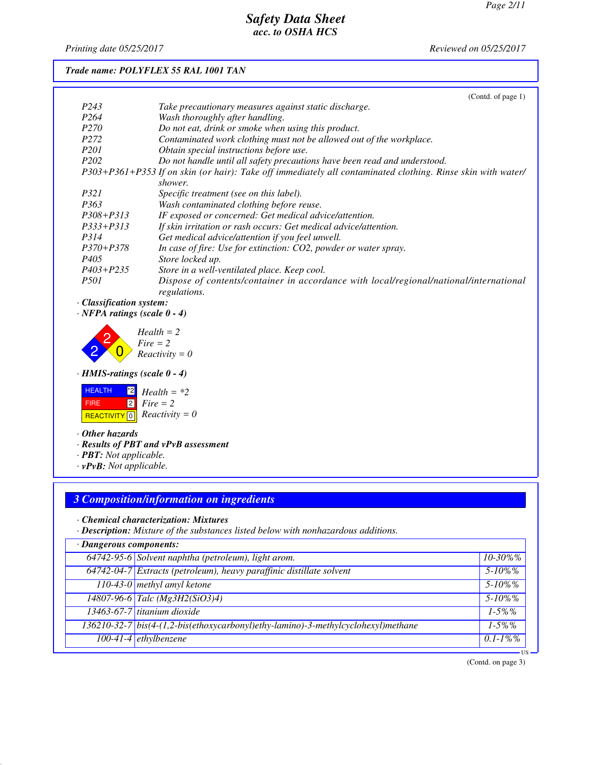*Printing date 05/25/2017 Reviewed on 05/25/2017*

# *Trade name: POLYFLEX 55 RAL 1001 TAN*

|                  | (Contd. of page $1$ )                                                                                       |
|------------------|-------------------------------------------------------------------------------------------------------------|
| P <sub>243</sub> | Take precautionary measures against static discharge.                                                       |
| P <sub>264</sub> | Wash thoroughly after handling.                                                                             |
| <i>P270</i>      | Do not eat, drink or smoke when using this product.                                                         |
| P <sub>272</sub> | Contaminated work clothing must not be allowed out of the workplace.                                        |
| <i>P201</i>      | Obtain special instructions before use.                                                                     |
| P <sub>202</sub> | Do not handle until all safety precautions have been read and understood.                                   |
|                  | P303+P361+P353 If on skin (or hair): Take off immediately all contaminated clothing. Rinse skin with water/ |
|                  | shower.                                                                                                     |
| <i>P321</i>      | Specific treatment (see on this label).                                                                     |
| P363             | Wash contaminated clothing before reuse.                                                                    |
| $P308 + P313$    | IF exposed or concerned: Get medical advice/attention.                                                      |
| $P333+P313$      | If skin irritation or rash occurs: Get medical advice/attention.                                            |
| P314             | Get medical advice/attention if you feel unwell.                                                            |
| $P370 + P378$    | In case of fire: Use for extinction: CO2, powder or water spray.                                            |
| P405             | Store locked up.                                                                                            |
| $P403 + P235$    | Store in a well-ventilated place. Keep cool.                                                                |
| <i>P501</i>      | Dispose of contents/container in accordance with local/regional/national/international<br>regulations.      |

*· Classification system:*

*· NFPA ratings (scale 0 - 4)*

2 2  $\overline{0}$ *Health = 2 Fire = 2 Reactivity = 0*

*· HMIS-ratings (scale 0 - 4)*



*· Other hazards*

*· Results of PBT and vPvB assessment*

- *· PBT: Not applicable.*
- *· vPvB: Not applicable.*

# *3 Composition/information on ingredients*

*· Chemical characterization: Mixtures*

*· Description: Mixture of the substances listed below with nonhazardous additions.*

| · Dangerous components: |                                                                                   |               |
|-------------------------|-----------------------------------------------------------------------------------|---------------|
|                         | 64742-95-6 Solvent naphtha (petroleum), light arom.                               | $10 - 30\%$ % |
|                         | 64742-04-7 Extracts (petroleum), heavy paraffinic distillate solvent              | $5 - 10\%$ %  |
|                         | 110-43-0 methyl amyl ketone                                                       | $5 - 10\%$ %  |
|                         | $14807 - 96 - 6$ Talc (Mg3H2(SiO3)4)                                              | $5 - 10\%$ %  |
|                         | 13463-67-7 titanium dioxide                                                       | $1 - 5\%$ %   |
|                         | 136210-32-7 bis(4-(1,2-bis(ethoxycarbonyl)ethy-lamino)-3-methylcyclohexyl)methane | $1 - 5\%$ %   |
|                         | 100-41-4 ethylbenzene                                                             | $0.1 - 1\%$ % |

(Contd. on page 3)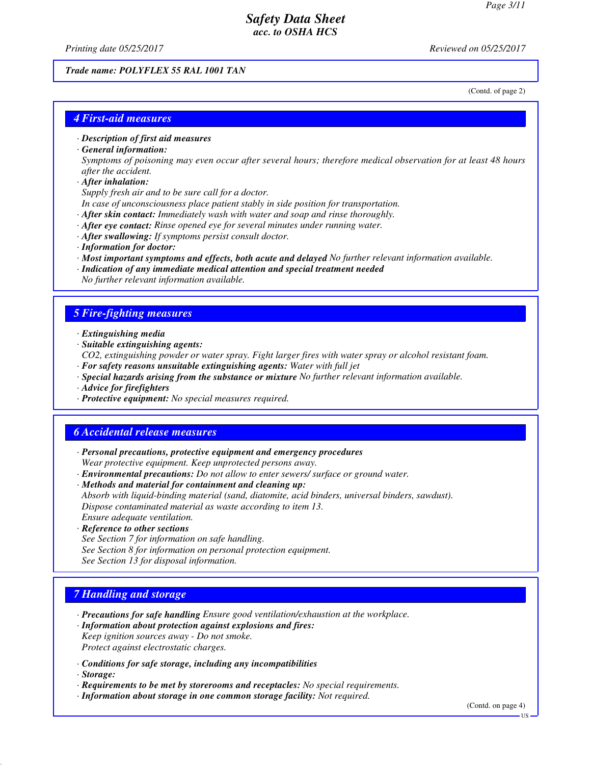*Printing date 05/25/2017 Reviewed on 05/25/2017*

#### *Trade name: POLYFLEX 55 RAL 1001 TAN*

(Contd. of page 2)

### *4 First-aid measures*

*· Description of first aid measures*

#### *· General information:*

*Symptoms of poisoning may even occur after several hours; therefore medical observation for at least 48 hours after the accident.*

*· After inhalation:*

*Supply fresh air and to be sure call for a doctor.*

- *In case of unconsciousness place patient stably in side position for transportation.*
- *· After skin contact: Immediately wash with water and soap and rinse thoroughly.*
- *· After eye contact: Rinse opened eye for several minutes under running water.*
- *· After swallowing: If symptoms persist consult doctor.*
- *· Information for doctor:*
- *· Most important symptoms and effects, both acute and delayed No further relevant information available.*
- *· Indication of any immediate medical attention and special treatment needed No further relevant information available.*

#### *5 Fire-fighting measures*

- *· Extinguishing media*
- *· Suitable extinguishing agents:*
- *CO2, extinguishing powder or water spray. Fight larger fires with water spray or alcohol resistant foam.*
- *· For safety reasons unsuitable extinguishing agents: Water with full jet*
- *· Special hazards arising from the substance or mixture No further relevant information available.*
- *· Advice for firefighters*
- *· Protective equipment: No special measures required.*

### *6 Accidental release measures*

- *· Personal precautions, protective equipment and emergency procedures Wear protective equipment. Keep unprotected persons away.*
- *· Environmental precautions: Do not allow to enter sewers/ surface or ground water.*
- *· Methods and material for containment and cleaning up: Absorb with liquid-binding material (sand, diatomite, acid binders, universal binders, sawdust). Dispose contaminated material as waste according to item 13. Ensure adequate ventilation.*
- *· Reference to other sections See Section 7 for information on safe handling. See Section 8 for information on personal protection equipment. See Section 13 for disposal information.*

#### *7 Handling and storage*

- *· Precautions for safe handling Ensure good ventilation/exhaustion at the workplace.*
- *· Information about protection against explosions and fires: Keep ignition sources away - Do not smoke. Protect against electrostatic charges.*
- *· Conditions for safe storage, including any incompatibilities*
- *· Storage:*
- *· Requirements to be met by storerooms and receptacles: No special requirements.*
- *· Information about storage in one common storage facility: Not required.*

(Contd. on page 4)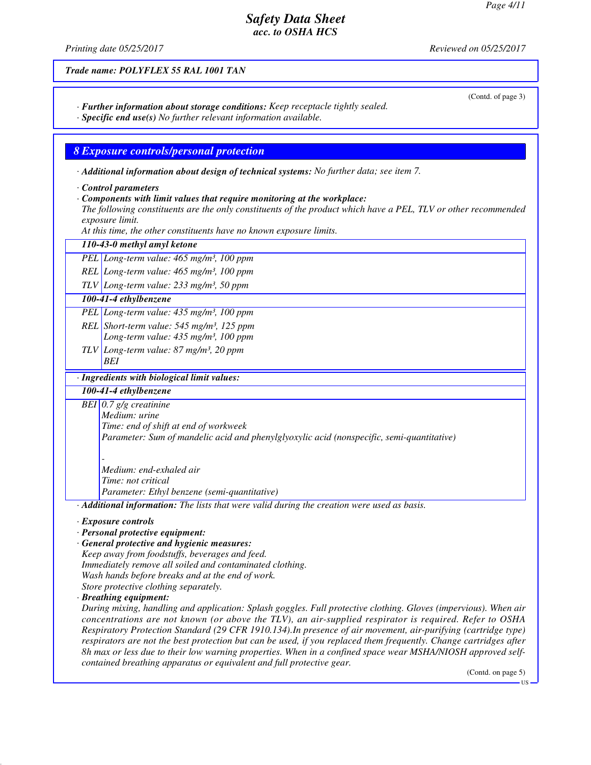*Printing date 05/25/2017 Reviewed on 05/25/2017*

*Trade name: POLYFLEX 55 RAL 1001 TAN*

- *· Further information about storage conditions: Keep receptacle tightly sealed.*
- *· Specific end use(s) No further relevant information available.*

## *8 Exposure controls/personal protection*

- *· Additional information about design of technical systems: No further data; see item 7.*
- *· Control parameters*
- *· Components with limit values that require monitoring at the workplace:*
- *The following constituents are the only constituents of the product which have a PEL, TLV or other recommended exposure limit.*

*At this time, the other constituents have no known exposure limits.*

| 110-43-0 methyl amyl ketone                                                                                                                                                                                                                                                                                                                                                                                                                                                                                                                                                                                                                                                                                                                                                                                                                                                                                                                                                                              |
|----------------------------------------------------------------------------------------------------------------------------------------------------------------------------------------------------------------------------------------------------------------------------------------------------------------------------------------------------------------------------------------------------------------------------------------------------------------------------------------------------------------------------------------------------------------------------------------------------------------------------------------------------------------------------------------------------------------------------------------------------------------------------------------------------------------------------------------------------------------------------------------------------------------------------------------------------------------------------------------------------------|
| PEL Long-term value: 465 mg/m <sup>3</sup> , 100 ppm                                                                                                                                                                                                                                                                                                                                                                                                                                                                                                                                                                                                                                                                                                                                                                                                                                                                                                                                                     |
| REL Long-term value: 465 mg/m <sup>3</sup> , 100 ppm                                                                                                                                                                                                                                                                                                                                                                                                                                                                                                                                                                                                                                                                                                                                                                                                                                                                                                                                                     |
| $TLV$ Long-term value: 233 mg/m <sup>3</sup> , 50 ppm                                                                                                                                                                                                                                                                                                                                                                                                                                                                                                                                                                                                                                                                                                                                                                                                                                                                                                                                                    |
| 100-41-4 ethylbenzene                                                                                                                                                                                                                                                                                                                                                                                                                                                                                                                                                                                                                                                                                                                                                                                                                                                                                                                                                                                    |
| PEL Long-term value: 435 mg/m <sup>3</sup> , 100 ppm                                                                                                                                                                                                                                                                                                                                                                                                                                                                                                                                                                                                                                                                                                                                                                                                                                                                                                                                                     |
| REL Short-term value: $545$ mg/m <sup>3</sup> , 125 ppm<br>Long-term value: 435 mg/m <sup>3</sup> , 100 ppm                                                                                                                                                                                                                                                                                                                                                                                                                                                                                                                                                                                                                                                                                                                                                                                                                                                                                              |
| $TLV$ Long-term value: 87 mg/m <sup>3</sup> , 20 ppm<br>BEI                                                                                                                                                                                                                                                                                                                                                                                                                                                                                                                                                                                                                                                                                                                                                                                                                                                                                                                                              |
| · Ingredients with biological limit values:                                                                                                                                                                                                                                                                                                                                                                                                                                                                                                                                                                                                                                                                                                                                                                                                                                                                                                                                                              |
| 100-41-4 ethylbenzene                                                                                                                                                                                                                                                                                                                                                                                                                                                                                                                                                                                                                                                                                                                                                                                                                                                                                                                                                                                    |
| BEI $0.7$ g/g creatinine<br>Medium: urine<br>Time: end of shift at end of workweek<br>Parameter: Sum of mandelic acid and phenylglyoxylic acid (nonspecific, semi-quantitative)                                                                                                                                                                                                                                                                                                                                                                                                                                                                                                                                                                                                                                                                                                                                                                                                                          |
| Medium: end-exhaled air<br>Time: not critical<br>Parameter: Ethyl benzene (semi-quantitative)                                                                                                                                                                                                                                                                                                                                                                                                                                                                                                                                                                                                                                                                                                                                                                                                                                                                                                            |
| · Additional information: The lists that were valid during the creation were used as basis.                                                                                                                                                                                                                                                                                                                                                                                                                                                                                                                                                                                                                                                                                                                                                                                                                                                                                                              |
| · Exposure controls<br>· Personal protective equipment:<br>· General protective and hygienic measures:<br>Keep away from foodstuffs, beverages and feed.<br>Immediately remove all soiled and contaminated clothing.<br>Wash hands before breaks and at the end of work.<br>Store protective clothing separately.<br>· Breathing equipment:<br>During mixing, handling and application: Splash goggles. Full protective clothing. Gloves (impervious). When air<br>concentrations are not known (or above the TLV), an air-supplied respirator is required. Refer to OSHA<br>Respiratory Protection Standard (29 CFR 1910.134). In presence of air movement, air-purifying (cartridge type)<br>respirators are not the best protection but can be used, if you replaced them frequently. Change cartridges after<br>8h max or less due to their low warning properties. When in a confined space wear MSHA/NIOSH approved self-<br>contained breathing apparatus or equivalent and full protective gear. |
| (Contd. on page 5)                                                                                                                                                                                                                                                                                                                                                                                                                                                                                                                                                                                                                                                                                                                                                                                                                                                                                                                                                                                       |

(Contd. of page 3)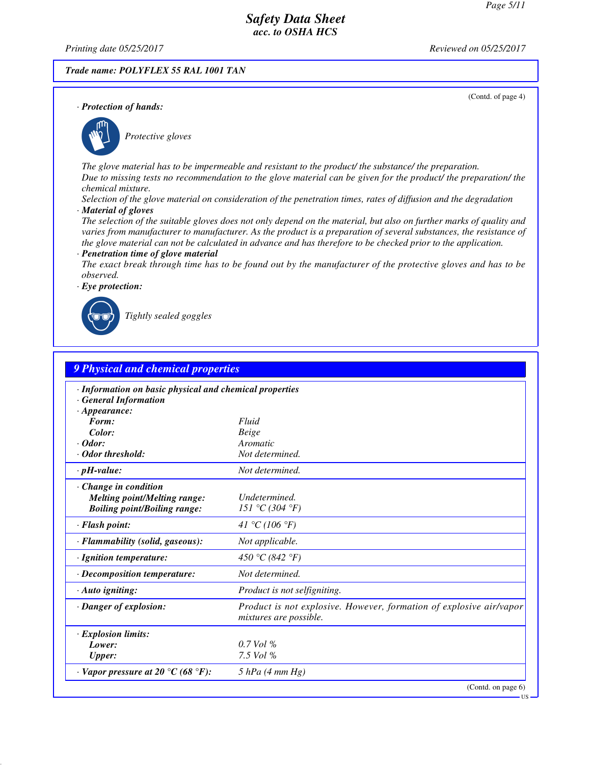*Printing date 05/25/2017 Reviewed on 05/25/2017*

#### *Trade name: POLYFLEX 55 RAL 1001 TAN*

(Contd. of page 4)

*· Protection of hands:*



\_S*Protective gloves*

*The glove material has to be impermeable and resistant to the product/ the substance/ the preparation. Due to missing tests no recommendation to the glove material can be given for the product/ the preparation/ the chemical mixture.*

*Selection of the glove material on consideration of the penetration times, rates of diffusion and the degradation · Material of gloves*

*The selection of the suitable gloves does not only depend on the material, but also on further marks of quality and varies from manufacturer to manufacturer. As the product is a preparation of several substances, the resistance of the glove material can not be calculated in advance and has therefore to be checked prior to the application.*

#### *· Penetration time of glove material*

*The exact break through time has to be found out by the manufacturer of the protective gloves and has to be observed.*



\_R*Tightly sealed goggles*

| 9 Physical and chemical properties                                                                        |                                                                                               |
|-----------------------------------------------------------------------------------------------------------|-----------------------------------------------------------------------------------------------|
| · Information on basic physical and chemical properties<br><b>General Information</b>                     |                                                                                               |
| $\cdot$ Appearance:<br>Form:                                                                              | Fluid                                                                                         |
| Color:                                                                                                    | Beige                                                                                         |
| $\cdot$ Odor:                                                                                             | Aromatic                                                                                      |
| · Odor threshold:                                                                                         | Not determined.                                                                               |
| $\cdot$ pH-value:                                                                                         | Not determined.                                                                               |
| $\cdot$ Change in condition<br><b>Melting point/Melting range:</b><br><b>Boiling point/Boiling range:</b> | Undetermined.<br>151 °C (304 °F)                                                              |
| · Flash point:                                                                                            | 41 °C (106 °F)                                                                                |
| · Flammability (solid, gaseous):                                                                          | Not applicable.                                                                               |
| · Ignition temperature:                                                                                   | 450 °C (842 °F)                                                                               |
| $\cdot$ Decomposition temperature:                                                                        | Not determined.                                                                               |
| $\cdot$ Auto igniting:                                                                                    | <i>Product is not selfigniting.</i>                                                           |
| · Danger of explosion:                                                                                    | Product is not explosive. However, formation of explosive air/vapor<br>mixtures are possible. |
| · Explosion limits:                                                                                       |                                                                                               |
| Lower:                                                                                                    | $0.7$ Vol %                                                                                   |
| <b>Upper:</b>                                                                                             | 7.5 Vol %                                                                                     |
| $\cdot$ Vapor pressure at 20 °C (68 °F):                                                                  | $5$ hPa (4 mm Hg)                                                                             |
|                                                                                                           | (Contd. on page 6)                                                                            |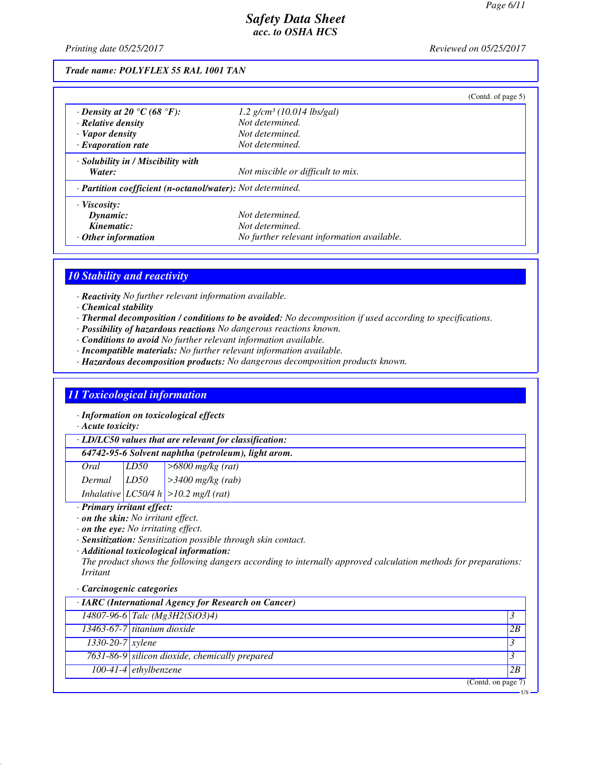*Printing date 05/25/2017 Reviewed on 05/25/2017*

*Trade name: POLYFLEX 55 RAL 1001 TAN*

|                                                                         |                                            | (Contd. of page $5$ ) |
|-------------------------------------------------------------------------|--------------------------------------------|-----------------------|
| $\cdot$ Density at 20 °C (68 °F):                                       | $1.2$ g/cm <sup>3</sup> (10.014 lbs/gal)   |                       |
| $\cdot$ Relative density                                                | Not determined.                            |                       |
| · Vapor density                                                         | Not determined.                            |                       |
| $\cdot$ Evaporation rate                                                | Not determined.                            |                       |
| $\cdot$ Solubility in / Miscibility with                                |                                            |                       |
| Water:                                                                  | Not miscible or difficult to mix.          |                       |
| $\cdot$ <b>Partition coefficient (n-octanol/water):</b> Not determined. |                                            |                       |
| · Viscosity:                                                            |                                            |                       |
| Dynamic:                                                                | Not determined.                            |                       |
| Kinematic:                                                              | Not determined.                            |                       |
| $\cdot$ Other information                                               | No further relevant information available. |                       |

### *10 Stability and reactivity*

*· Reactivity No further relevant information available.*

- *· Chemical stability*
- *· Thermal decomposition / conditions to be avoided: No decomposition if used according to specifications.*
- *· Possibility of hazardous reactions No dangerous reactions known.*
- *· Conditions to avoid No further relevant information available.*
- *· Incompatible materials: No further relevant information available.*
- *· Hazardous decomposition products: No dangerous decomposition products known.*

# *11 Toxicological information*

*· Information on toxicological effects*

*· Acute toxicity:*

*· LD/LC50 values that are relevant for classification:*

#### *64742-95-6 Solvent naphtha (petroleum), light arom.*

| Oral   | LD <sub>50</sub> | $\sim$ 5800 mg/kg (rat)                   |
|--------|------------------|-------------------------------------------|
| Dermal | LD50             | $\vert$ >3400 mg/kg (rab)                 |
|        |                  | Inhalative $ LCS0/4 h  > 10.2 mg/l$ (rat) |

*· Primary irritant effect:*

*· on the skin: No irritant effect.*

*· on the eye: No irritating effect.*

*· Sensitization: Sensitization possible through skin contact.*

*· Additional toxicological information:*

*The product shows the following dangers according to internally approved calculation methods for preparations: Irritant*

#### *· Carcinogenic categories*

| · IARC (International Agency for Research on Cancer) |                                                |    |
|------------------------------------------------------|------------------------------------------------|----|
|                                                      | 14807-96-6 Talc (Mg3H2(SiO3)4)                 |    |
|                                                      | 13463-67-7 titanium dioxide                    | 2B |
| $1330 - 20 - 7$ xylene                               |                                                |    |
|                                                      | 7631-86-9 silicon dioxide, chemically prepared |    |
|                                                      | $100-41-4$ <i>ethylbenzene</i>                 | 2B |
|                                                      | (Contd. on page 7)                             |    |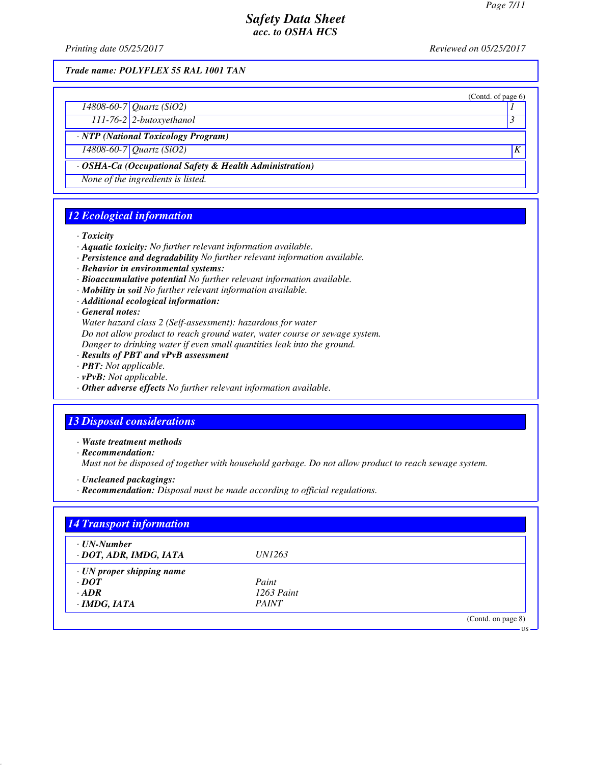(Contd. of page 6)

US

# *Safety Data Sheet acc. to OSHA HCS*

*Printing date 05/25/2017 Reviewed on 05/25/2017*

*Trade name: POLYFLEX 55 RAL 1001 TAN*

*14808-60-7 Quartz (SiO2) 1* 

*111-76-2 2-butoxyethanol 3* 

*· NTP (National Toxicology Program)*

*14808-60-7 Quartz (SiO2) K* 

*· OSHA-Ca (Occupational Safety & Health Administration)*

*None of the ingredients is listed.*

# *12 Ecological information*

*· Toxicity*

- *· Aquatic toxicity: No further relevant information available.*
- *· Persistence and degradability No further relevant information available.*
- *· Behavior in environmental systems:*
- *· Bioaccumulative potential No further relevant information available.*
- *· Mobility in soil No further relevant information available.*
- *· Additional ecological information:*

*· General notes:*

*Water hazard class 2 (Self-assessment): hazardous for water*

*Do not allow product to reach ground water, water course or sewage system.*

*Danger to drinking water if even small quantities leak into the ground.*

- *· Results of PBT and vPvB assessment*
- *· PBT: Not applicable.*
- *· vPvB: Not applicable.*
- *· Other adverse effects No further relevant information available.*

# *13 Disposal considerations*

*· Waste treatment methods*

*· Recommendation:*

*Must not be disposed of together with household garbage. Do not allow product to reach sewage system.*

*· Uncleaned packagings:*

*· Recommendation: Disposal must be made according to official regulations.*

| <b>14 Transport information</b>             |               |                    |
|---------------------------------------------|---------------|--------------------|
| $\cdot$ UN-Number<br>· DOT, ADR, IMDG, IATA | <i>UN1263</i> |                    |
|                                             |               |                    |
| $\cdot$ UN proper shipping name             |               |                    |
| $\cdot$ DOT                                 | Paint         |                    |
| $\cdot$ ADR                                 | $1263$ Paint  |                    |
| $\cdot$ IMDG, IATA                          | <b>PAINT</b>  |                    |
|                                             |               | (Contd. on page 8) |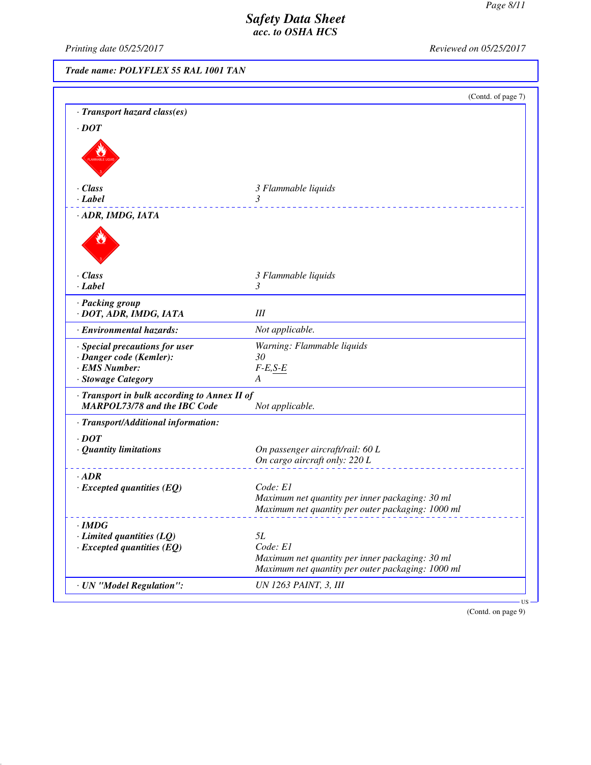*Printing date 05/25/2017 Reviewed on 05/25/2017*

*Trade name: POLYFLEX 55 RAL 1001 TAN*

|                                              | (Contd. of page 7)                                          |
|----------------------------------------------|-------------------------------------------------------------|
| · Transport hazard class(es)                 |                                                             |
| $\cdot$ <i>DOT</i>                           |                                                             |
|                                              |                                                             |
| $\cdot$ Class                                | 3 Flammable liquids                                         |
| $\cdot$ Label                                | 3                                                           |
| · ADR, IMDG, IATA                            |                                                             |
| $\cdot$ Class                                | 3 Flammable liquids                                         |
| $\cdot$ <i>Label</i>                         | 3                                                           |
| · Packing group<br>· DOT, ADR, IMDG, IATA    | III                                                         |
| · Environmental hazards:                     | Not applicable.                                             |
| · Special precautions for user               | Warning: Flammable liquids                                  |
| · Danger code (Kemler):                      | 30                                                          |
| · EMS Number:                                | $F-E,S-E$                                                   |
| · Stowage Category                           | A                                                           |
| · Transport in bulk according to Annex II of |                                                             |
| <b>MARPOL73/78 and the IBC Code</b>          | Not applicable.                                             |
| · Transport/Additional information:          |                                                             |
| $\cdot$ DOT                                  |                                                             |
| $\cdot$ Quantity limitations                 | On passenger aircraft/rail: 60 L                            |
|                                              | On cargo aircraft only: 220 L                               |
| $\cdot$ ADR                                  |                                                             |
| $\cdot$ Excepted quantities (EQ)             | Code: E1                                                    |
|                                              | Maximum net quantity per inner packaging: 30 ml             |
|                                              | Maximum net quantity per outer packaging: 1000 ml           |
| $\cdot$ IMDG                                 |                                                             |
| $\cdot$ Limited quantities (LQ)              | 5L                                                          |
| $\cdot$ Excepted quantities (EQ)             | Code: E1<br>Maximum net quantity per inner packaging: 30 ml |
|                                              | Maximum net quantity per outer packaging: 1000 ml           |
|                                              |                                                             |
| · UN "Model Regulation":                     | UN 1263 PAINT, 3, III                                       |

(Contd. on page 9)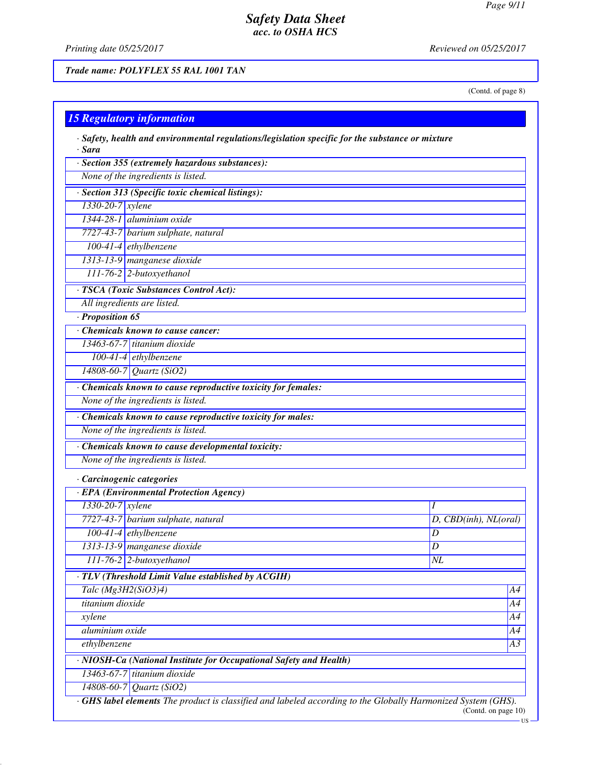*Printing date 05/25/2017 Reviewed on 05/25/2017*

*Trade name: POLYFLEX 55 RAL 1001 TAN*

(Contd. of page 8)

| $\cdot$ Sara<br>· Section 355 (extremely hazardous substances):    |                       |
|--------------------------------------------------------------------|-----------------------|
| None of the ingredients is listed.                                 |                       |
|                                                                    |                       |
| · Section 313 (Specific toxic chemical listings):                  |                       |
| 1330-20-7 xylene<br>1344-28-1 aluminium oxide                      |                       |
|                                                                    |                       |
| 7727-43-7 barium sulphate, natural                                 |                       |
| $100-41-4$ ethylbenzene                                            |                       |
| 1313-13-9 manganese dioxide                                        |                       |
| $111-76-2$ 2-butoxyethanol                                         |                       |
| · TSCA (Toxic Substances Control Act):                             |                       |
| All ingredients are listed.                                        |                       |
| $\cdot$ Proposition 65                                             |                       |
| Chemicals known to cause cancer:                                   |                       |
| 13463-67-7 titanium dioxide                                        |                       |
| $100-41-4$ ethylbenzene                                            |                       |
| 14808-60-7 Quartz (SiO2)                                           |                       |
| · Chemicals known to cause reproductive toxicity for females:      |                       |
| None of the ingredients is listed.                                 |                       |
| · Chemicals known to cause reproductive toxicity for males:        |                       |
| None of the ingredients is listed.                                 |                       |
| · Chemicals known to cause developmental toxicity:                 |                       |
| None of the ingredients is listed.                                 |                       |
| · Carcinogenic categories                                          |                       |
| · EPA (Environmental Protection Agency)                            |                       |
| 1330-20-7 xylene                                                   | Ι                     |
| 7727-43-7 barium sulphate, natural                                 | D, CBD(inh), NL(oral) |
| $100-41-4$ ethylbenzene                                            | D                     |
| 1313-13-9 manganese dioxide                                        | $\overline{D}$        |
| $111-76-2$ 2-butoxyethanol                                         | NL                    |
| $\cdot$ TLV (Threshold Limit Value established by ACGIH)           |                       |
| Talc (Mg3H2(SiO3)4)                                                | A4                    |
| titanium dioxide                                                   | A4                    |
| xylene                                                             | A4                    |
| aluminium oxide                                                    | A4                    |
| ethylbenzene                                                       |                       |
| · NIOSH-Ca (National Institute for Occupational Safety and Health) |                       |
| 13463-67-7 titanium dioxide                                        |                       |
| 14808-60-7 Quartz (SiO2)                                           |                       |

 $-US$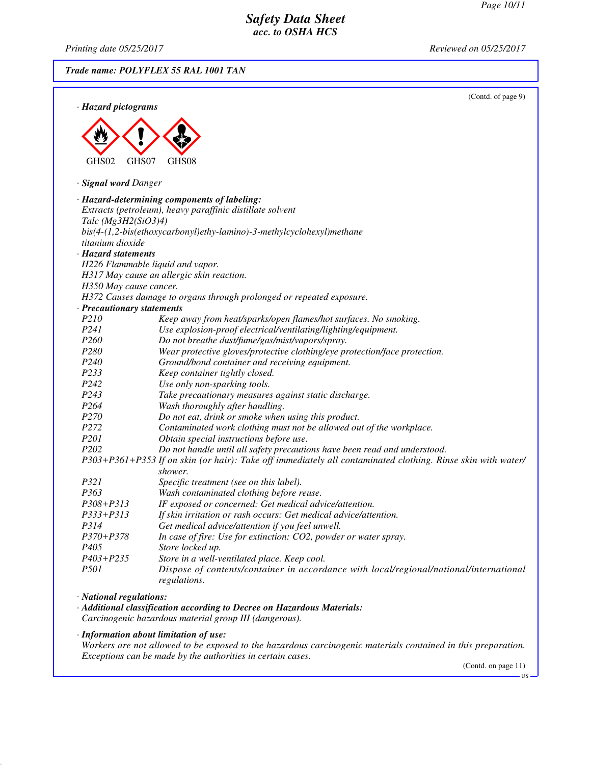*Printing date 05/25/2017 Reviewed on 05/25/2017 Trade name: POLYFLEX 55 RAL 1001 TAN* (Contd. of page 9) *· Hazard pictograms* < GHS02  $\langle \cdot \rangle$ GHS07  $\Leftrightarrow$ GHS08 *· Signal word Danger · Hazard-determining components of labeling: Extracts (petroleum), heavy paraffinic distillate solvent Talc (Mg3H2(SiO3)4) bis(4-(1,2-bis(ethoxycarbonyl)ethy-lamino)-3-methylcyclohexyl)methane titanium dioxide · Hazard statements H226 Flammable liquid and vapor. H317 May cause an allergic skin reaction. H350 May cause cancer. H372 Causes damage to organs through prolonged or repeated exposure. · Precautionary statements P210 Keep away from heat/sparks/open flames/hot surfaces. No smoking. P241 Use explosion-proof electrical/ventilating/lighting/equipment. P260 Do not breathe dust/fume/gas/mist/vapors/spray. Wear protective gloves/protective clothing/eye protection/face protection. P240 Ground/bond container and receiving equipment. P233 Keep container tightly closed. P242 Use only non-sparking tools. P243 Take precautionary measures against static discharge. P264 Wash thoroughly after handling. P270 Do not eat, drink or smoke when using this product. P272 Contaminated work clothing must not be allowed out of the workplace. P201 Obtain special instructions before use. P202 Do not handle until all safety precautions have been read and understood. P303+P361+P353 If on skin (or hair): Take off immediately all contaminated clothing. Rinse skin with water/ shower. P321 Specific treatment (see on this label).* Wash contaminated clothing before reuse. *P308+P313 IF exposed or concerned: Get medical advice/attention. P333+P313 If skin irritation or rash occurs: Get medical advice/attention. P314 Get medical advice/attention if you feel unwell. P370+P378 In case of fire: Use for extinction: CO2, powder or water spray. P405 Store locked up. P403+P235 Store in a well-ventilated place. Keep cool.*

*P501 Dispose of contents/container in accordance with local/regional/national/international regulations.*

*· National regulations:*

*· Additional classification according to Decree on Hazardous Materials:*

*Carcinogenic hazardous material group III (dangerous).*

*· Information about limitation of use:*

*Workers are not allowed to be exposed to the hazardous carcinogenic materials contained in this preparation. Exceptions can be made by the authorities in certain cases.*

(Contd. on page 11)

US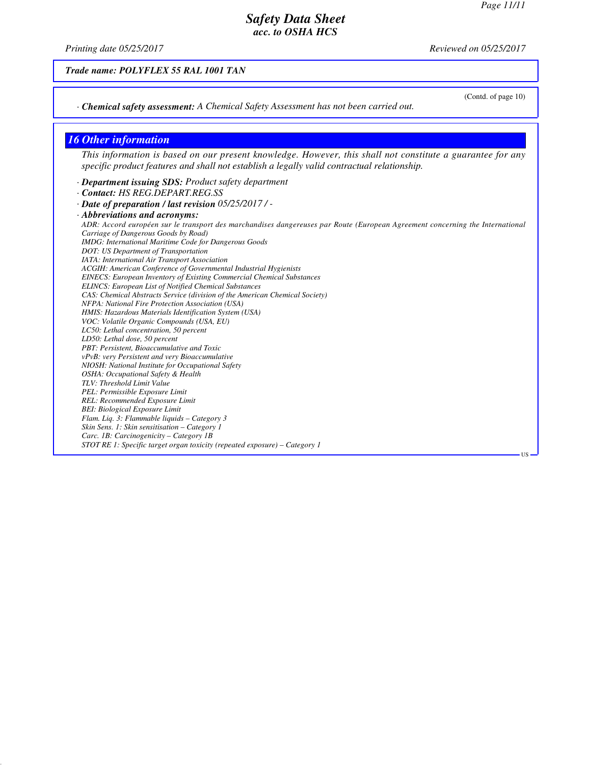*Printing date 05/25/2017 Reviewed on 05/25/2017*

*Trade name: POLYFLEX 55 RAL 1001 TAN*

(Contd. of page 10)

US

*· Chemical safety assessment: A Chemical Safety Assessment has not been carried out.*

#### *16 Other information*

*This information is based on our present knowledge. However, this shall not constitute a guarantee for any specific product features and shall not establish a legally valid contractual relationship.*

*· Department issuing SDS: Product safety department*

*· Contact: HS REG.DEPART.REG.SS*

*· Date of preparation / last revision 05/25/2017 / -*

*· Abbreviations and acronyms: ADR: Accord européen sur le transport des marchandises dangereuses par Route (European Agreement concerning the International Carriage of Dangerous Goods by Road) IMDG: International Maritime Code for Dangerous Goods DOT: US Department of Transportation IATA: International Air Transport Association ACGIH: American Conference of Governmental Industrial Hygienists EINECS: European Inventory of Existing Commercial Chemical Substances ELINCS: European List of Notified Chemical Substances CAS: Chemical Abstracts Service (division of the American Chemical Society) NFPA: National Fire Protection Association (USA) HMIS: Hazardous Materials Identification System (USA) VOC: Volatile Organic Compounds (USA, EU) LC50: Lethal concentration, 50 percent LD50: Lethal dose, 50 percent PBT: Persistent, Bioaccumulative and Toxic vPvB: very Persistent and very Bioaccumulative NIOSH: National Institute for Occupational Safety OSHA: Occupational Safety & Health TLV: Threshold Limit Value PEL: Permissible Exposure Limit REL: Recommended Exposure Limit BEI: Biological Exposure Limit Flam. Liq. 3: Flammable liquids – Category 3 Skin Sens. 1: Skin sensitisation – Category 1 Carc. 1B: Carcinogenicity – Category 1B STOT RE 1: Specific target organ toxicity (repeated exposure) – Category 1*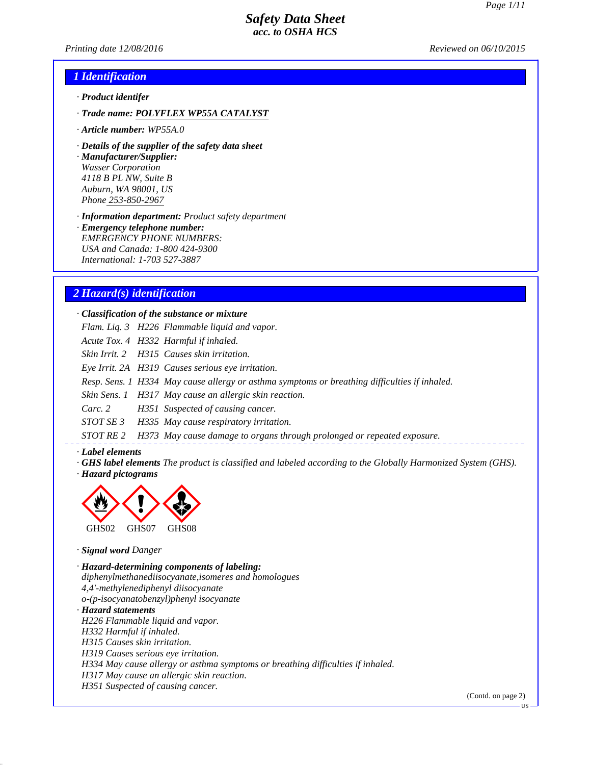*Printing date 12/08/2016 Reviewed on 06/10/2015*

### *1 Identification*

- *· Product identifer*
- *· Trade name: POLYFLEX WP55A CATALYST*
- *· Article number: WP55A.0*
- *· Details of the supplier of the safety data sheet*

*· Manufacturer/Supplier: Wasser Corporation 4118 B PL NW, Suite B Auburn, WA 98001, US Phone 253-850-2967*

*· Information department: Product safety department*

*· Emergency telephone number: EMERGENCY PHONE NUMBERS: USA and Canada: 1-800 424-9300 International: 1-703 527-3887*

### *2 Hazard(s) identification*

*· Classification of the substance or mixture*

- *Flam. Liq. 3 H226 Flammable liquid and vapor.*
- *Acute Tox. 4 H332 Harmful if inhaled.*
- *Skin Irrit. 2 H315 Causes skin irritation.*
- *Eye Irrit. 2A H319 Causes serious eye irritation.*
- *Resp. Sens. 1 H334 May cause allergy or asthma symptoms or breathing difficulties if inhaled.*
- *Skin Sens. 1 H317 May cause an allergic skin reaction.*
- *Carc. 2 H351 Suspected of causing cancer.*
- *STOT SE 3 H335 May cause respiratory irritation.*
- *STOT RE 2 H373 May cause damage to organs through prolonged or repeated exposure.*

#### *· Label elements*

*· GHS label elements The product is classified and labeled according to the Globally Harmonized System (GHS). · Hazard pictograms*



*· Signal word Danger*

*· Hazard-determining components of labeling: diphenylmethanediisocyanate,isomeres and homologues 4,4'-methylenediphenyl diisocyanate o-(p-isocyanatobenzyl)phenyl isocyanate · Hazard statements H226 Flammable liquid and vapor. H332 Harmful if inhaled. H315 Causes skin irritation. H319 Causes serious eye irritation. H334 May cause allergy or asthma symptoms or breathing difficulties if inhaled. H317 May cause an allergic skin reaction. H351 Suspected of causing cancer.*

(Contd. on page 2)

**US**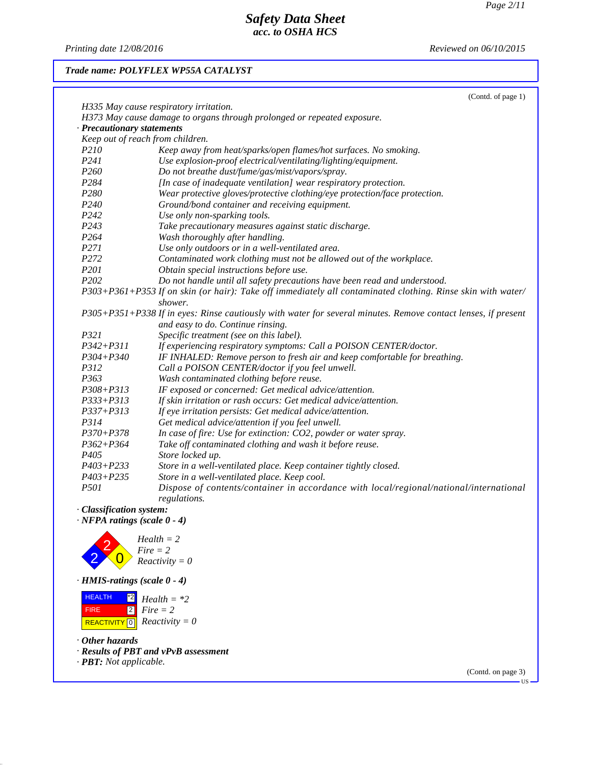*Printing date 12/08/2016 Reviewed on 06/10/2015*

## *Trade name: POLYFLEX WP55A CATALYST*

|                                  | (Contd. of page 1)                                                                                                     |
|----------------------------------|------------------------------------------------------------------------------------------------------------------------|
|                                  | H335 May cause respiratory irritation.                                                                                 |
|                                  | H373 May cause damage to organs through prolonged or repeated exposure.                                                |
| <b>Precautionary statements</b>  |                                                                                                                        |
| Keep out of reach from children. |                                                                                                                        |
| P210                             | Keep away from heat/sparks/open flames/hot surfaces. No smoking.                                                       |
| P241                             | Use explosion-proof electrical/ventilating/lighting/equipment.                                                         |
| P <sub>260</sub>                 | Do not breathe dust/fume/gas/mist/vapors/spray.                                                                        |
| P284                             | [In case of inadequate ventilation] wear respiratory protection.                                                       |
| P280                             | Wear protective gloves/protective clothing/eye protection/face protection.                                             |
| P <sub>240</sub>                 | Ground/bond container and receiving equipment.                                                                         |
| P <sub>242</sub>                 | Use only non-sparking tools.                                                                                           |
| P <sub>243</sub>                 | Take precautionary measures against static discharge.                                                                  |
| P <sub>264</sub>                 | Wash thoroughly after handling.                                                                                        |
| P271                             | Use only outdoors or in a well-ventilated area.                                                                        |
| P <sub>272</sub>                 | Contaminated work clothing must not be allowed out of the workplace.                                                   |
| P <sub>201</sub>                 | Obtain special instructions before use.                                                                                |
| P <sub>202</sub>                 | Do not handle until all safety precautions have been read and understood.                                              |
|                                  | P303+P361+P353 If on skin (or hair): Take off immediately all contaminated clothing. Rinse skin with water/<br>shower. |
|                                  | P305+P351+P338 If in eyes: Rinse cautiously with water for several minutes. Remove contact lenses, if present          |
|                                  | and easy to do. Continue rinsing.                                                                                      |
| P321                             | Specific treatment (see on this label).                                                                                |
| $P342 + P311$                    | If experiencing respiratory symptoms: Call a POISON CENTER/doctor.                                                     |
| $P304 + P340$                    | IF INHALED: Remove person to fresh air and keep comfortable for breathing.                                             |
| P312                             | Call a POISON CENTER/doctor if you feel unwell.                                                                        |
| P363                             | Wash contaminated clothing before reuse.                                                                               |
| $P308 + P313$                    | IF exposed or concerned: Get medical advice/attention.                                                                 |
| $P333 + P313$                    | If skin irritation or rash occurs: Get medical advice/attention.                                                       |
| $P337 + P313$                    | If eye irritation persists: Get medical advice/attention.                                                              |
| P314                             | Get medical advice/attention if you feel unwell.                                                                       |
| $P370 + P378$                    | In case of fire: Use for extinction: CO2, powder or water spray.                                                       |
| $P362 + P364$                    | Take off contaminated clothing and wash it before reuse.                                                               |
| P405                             | Store locked up.                                                                                                       |
| $P403 + P233$                    | Store in a well-ventilated place. Keep container tightly closed.                                                       |
| $P403 + P235$                    | Store in a well-ventilated place. Keep cool.                                                                           |
| P501                             | Dispose of contents/container in accordance with local/regional/national/international<br>regulations.                 |

*· Classification system:*

*· NFPA ratings (scale 0 - 4)*



*Health = 2 Fire = 2 Reactivity = 0*

*· HMIS-ratings (scale 0 - 4)*

 HEALTH FIRE  $\overline{REACTIVITY \, \vert \, \vert \, \vert}$  *Reactivity = 0* \*2 *Health = \*2* 2 *Fire = 2*

*· Other hazards*

*· Results of PBT and vPvB assessment*

*· PBT: Not applicable.*

(Contd. on page 3)

US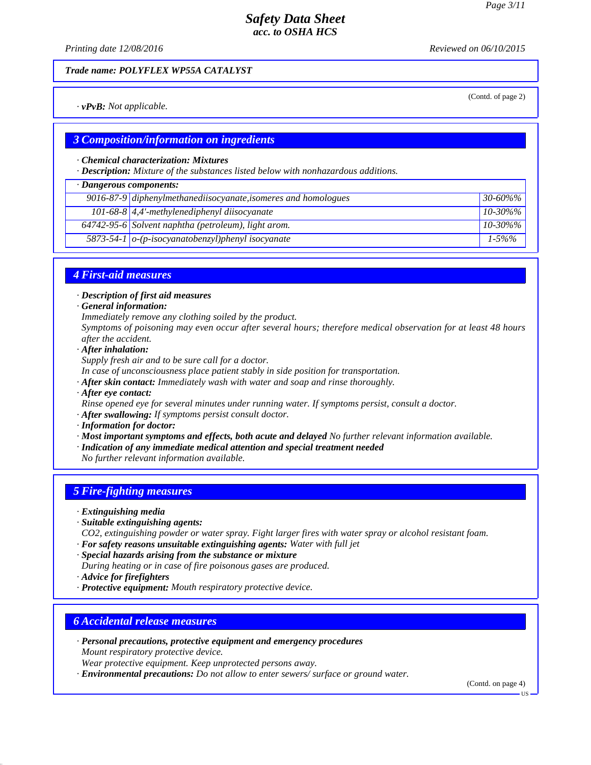(Contd. of page 2)

# *Safety Data Sheet acc. to OSHA HCS*

*Printing date 12/08/2016 Reviewed on 06/10/2015*

*Trade name: POLYFLEX WP55A CATALYST*

*· vPvB: Not applicable.*

### *3 Composition/information on ingredients*

#### *· Chemical characterization: Mixtures*

*· Description: Mixture of the substances listed below with nonhazardous additions.*

#### *· Dangerous components:*

|  | $9016-87-9$ diphenylmethanediisocyanate, isomeres and homologues | $30 - 60\%$ % |  |  |
|--|------------------------------------------------------------------|---------------|--|--|
|  | 101-68-8 $\vert 4,4 \rangle$ -methylenediphenyl diisocyanate     | $10 - 30\%$ % |  |  |
|  | 64742-95-6 Solvent naphtha (petroleum), light arom.              | $10 - 30\%$ % |  |  |
|  | 5873-54-1 $\sigma$ -(p-isocyanatobenzyl)phenyl isocyanate        | $1 - 5\%%$    |  |  |
|  |                                                                  |               |  |  |

# *4 First-aid measures*

*· Description of first aid measures*

*· General information:*

*Immediately remove any clothing soiled by the product.*

*Symptoms of poisoning may even occur after several hours; therefore medical observation for at least 48 hours after the accident.*

- *· After inhalation:*
- *Supply fresh air and to be sure call for a doctor.*

*In case of unconsciousness place patient stably in side position for transportation.*

*· After skin contact: Immediately wash with water and soap and rinse thoroughly.*

*· After eye contact:*

*Rinse opened eye for several minutes under running water. If symptoms persist, consult a doctor.*

*· After swallowing: If symptoms persist consult doctor.*

*· Information for doctor:*

*· Most important symptoms and effects, both acute and delayed No further relevant information available.*

*· Indication of any immediate medical attention and special treatment needed*

*No further relevant information available.*

## *5 Fire-fighting measures*

- *· Extinguishing media*
- *· Suitable extinguishing agents:*

*CO2, extinguishing powder or water spray. Fight larger fires with water spray or alcohol resistant foam.*

*· For safety reasons unsuitable extinguishing agents: Water with full jet*

*· Special hazards arising from the substance or mixture*

- *During heating or in case of fire poisonous gases are produced.*
- *· Advice for firefighters*
- *· Protective equipment: Mouth respiratory protective device.*

### *6 Accidental release measures*

*· Personal precautions, protective equipment and emergency procedures Mount respiratory protective device.*

*Wear protective equipment. Keep unprotected persons away.*

*· Environmental precautions: Do not allow to enter sewers/ surface or ground water.*

(Contd. on page 4)

US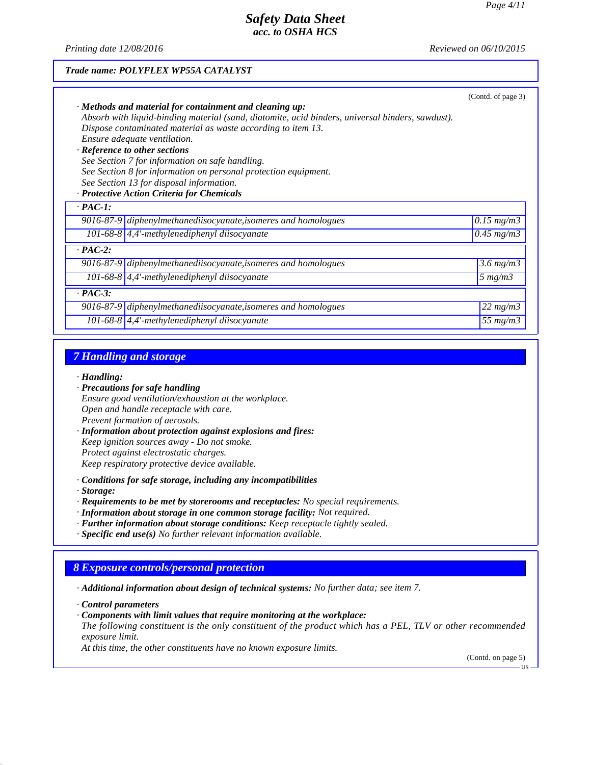*Trade name: POLYFLEX WP55A CATALYST*

*Printing date 12/08/2016 Reviewed on 06/10/2015*

# (Contd. of page 3) *· Methods and material for containment and cleaning up: Absorb with liquid-binding material (sand, diatomite, acid binders, universal binders, sawdust). Dispose contaminated material as waste according to item 13. Ensure adequate ventilation. · Reference to other sections See Section 7 for information on safe handling. See Section 8 for information on personal protection equipment. See Section 13 for disposal information. · Protective Action Criteria for Chemicals · PAC-1: 9016-87-9 diphenylmethanediisocyanate,isomeres and homologues 0.15 mg/m3 101-68-8 4,4'-methylenediphenyl diisocyanate 0.45 mg/m3 · PAC-2: 9016-87-9 diphenylmethanediisocyanate,isomeres and homologues 3.6 mg/m3 101-68-8 4,4'-methylenediphenyl diisocyanate 5 mg/m3 · PAC-3: 9016-87-9 diphenylmethanediisocyanate,isomeres and homologues 22 mg/m3 101-68-8 4,4'-methylenediphenyl diisocyanate 55 mg/m3*

## *7 Handling and storage*

#### *· Handling:*

- *· Precautions for safe handling Ensure good ventilation/exhaustion at the workplace. Open and handle receptacle with care. Prevent formation of aerosols.*
- *· Information about protection against explosions and fires: Keep ignition sources away - Do not smoke. Protect against electrostatic charges. Keep respiratory protective device available.*
- *· Conditions for safe storage, including any incompatibilities*

*· Storage:*

- *· Requirements to be met by storerooms and receptacles: No special requirements.*
- *· Information about storage in one common storage facility: Not required.*
- *· Further information about storage conditions: Keep receptacle tightly sealed.*
- *· Specific end use(s) No further relevant information available.*

# *8 Exposure controls/personal protection*

*· Additional information about design of technical systems: No further data; see item 7.*

*· Control parameters*

*· Components with limit values that require monitoring at the workplace:*

*The following constituent is the only constituent of the product which has a PEL, TLV or other recommended exposure limit.*

*At this time, the other constituents have no known exposure limits.*

(Contd. on page 5)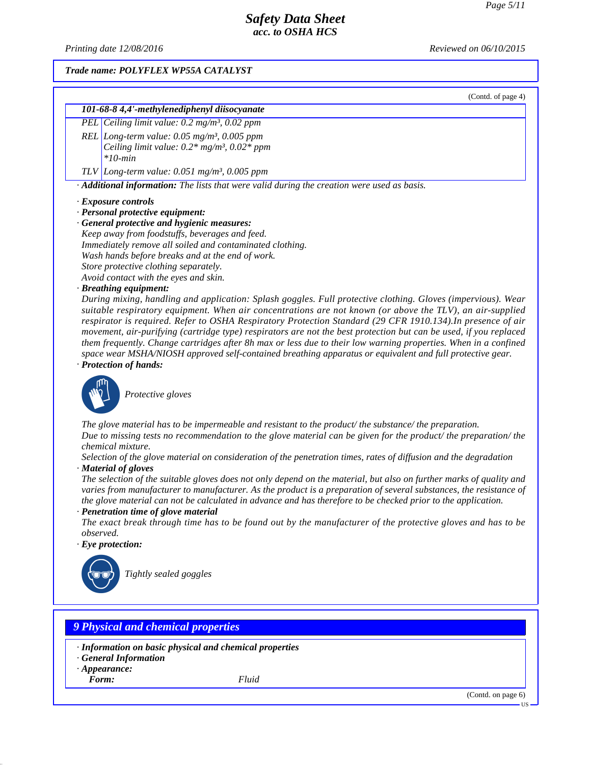*Printing date 12/08/2016 Reviewed on 06/10/2015*

#### *Trade name: POLYFLEX WP55A CATALYST*

(Contd. of page 4)

# *101-68-8 4,4'-methylenediphenyl diisocyanate*

*PEL Ceiling limit value: 0.2 mg/m³, 0.02 ppm*

*REL Long-term value: 0.05 mg/m³, 0.005 ppm Ceiling limit value: 0.2\* mg/m³, 0.02\* ppm \*10-min*

*TLV Long-term value: 0.051 mg/m³, 0.005 ppm*

*· Additional information: The lists that were valid during the creation were used as basis.*

#### *· Exposure controls*

*· Personal protective equipment:*

*· General protective and hygienic measures: Keep away from foodstuffs, beverages and feed.*

*Immediately remove all soiled and contaminated clothing. Wash hands before breaks and at the end of work.*

*Store protective clothing separately.*

*Avoid contact with the eyes and skin.*

#### *· Breathing equipment:*

*During mixing, handling and application: Splash goggles. Full protective clothing. Gloves (impervious). Wear suitable respiratory equipment. When air concentrations are not known (or above the TLV), an air-supplied respirator is required. Refer to OSHA Respiratory Protection Standard (29 CFR 1910.134).In presence of air movement, air-purifying (cartridge type) respirators are not the best protection but can be used, if you replaced them frequently. Change cartridges after 8h max or less due to their low warning properties. When in a confined space wear MSHA/NIOSH approved self-contained breathing apparatus or equivalent and full protective gear.*

*· Protection of hands:*



\_S*Protective gloves*

*The glove material has to be impermeable and resistant to the product/ the substance/ the preparation. Due to missing tests no recommendation to the glove material can be given for the product/ the preparation/ the chemical mixture.*

*Selection of the glove material on consideration of the penetration times, rates of diffusion and the degradation · Material of gloves*

*The selection of the suitable gloves does not only depend on the material, but also on further marks of quality and varies from manufacturer to manufacturer. As the product is a preparation of several substances, the resistance of the glove material can not be calculated in advance and has therefore to be checked prior to the application.*

*· Penetration time of glove material*

*The exact break through time has to be found out by the manufacturer of the protective gloves and has to be observed.*

*· Eye protection:*



\_R*Tightly sealed goggles*

# *9 Physical and chemical properties*

- *· Information on basic physical and chemical properties*
- *· General Information*
- *· Appearance:*

*Form: Fluid*

(Contd. on page 6)

US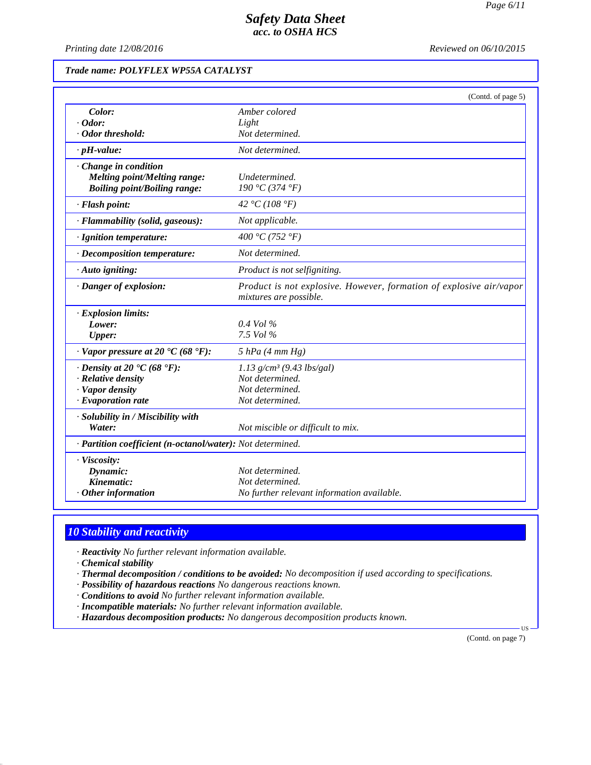*Printing date 12/08/2016 Reviewed on 06/10/2015*

## *Trade name: POLYFLEX WP55A CATALYST*

|                                                            | (Contd. of page 5)                                                                            |
|------------------------------------------------------------|-----------------------------------------------------------------------------------------------|
| Color:                                                     | Amber colored                                                                                 |
| $\cdot$ Odor:                                              | Light                                                                                         |
| Odor threshold:                                            | Not determined.                                                                               |
| $\cdot$ pH-value:                                          | Not determined.                                                                               |
| Change in condition                                        |                                                                                               |
| <b>Melting point/Melting range:</b>                        | Undetermined.                                                                                 |
| <b>Boiling point/Boiling range:</b>                        | 190 °C (374 °F)                                                                               |
| · Flash point:                                             | 42 °C (108 °F)                                                                                |
| · Flammability (solid, gaseous):                           | Not applicable.                                                                               |
| · Ignition temperature:                                    | 400 °C (752 °F)                                                                               |
| · Decomposition temperature:                               | Not determined.                                                                               |
| · Auto igniting:                                           | Product is not selfigniting.                                                                  |
| · Danger of explosion:                                     | Product is not explosive. However, formation of explosive air/vapor<br>mixtures are possible. |
| · Explosion limits:                                        |                                                                                               |
| Lower:                                                     | $0.4$ Vol $\%$                                                                                |
| <b>Upper:</b>                                              | 7.5 Vol %                                                                                     |
| $\cdot$ Vapor pressure at 20 $\cdot$ C (68 $\cdot$ F):     | $5$ hPa (4 mm Hg)                                                                             |
| $\cdot$ Density at 20 $\cdot$ C (68 $\cdot$ F):            | $1.13$ g/cm <sup>3</sup> (9.43 lbs/gal)                                                       |
| $\cdot$ Relative density                                   | Not determined.                                                                               |
| · Vapor density                                            | Not determined.                                                                               |
| $\cdot$ Evaporation rate                                   | Not determined.                                                                               |
| · Solubility in / Miscibility with                         |                                                                                               |
| Water:                                                     | Not miscible or difficult to mix.                                                             |
| · Partition coefficient (n-octanol/water): Not determined. |                                                                                               |
| · Viscosity:                                               |                                                                                               |
| Dynamic:                                                   | Not determined.                                                                               |
| Kinematic:                                                 | Not determined.                                                                               |
| $\cdot$ Other information                                  | No further relevant information available.                                                    |

# *10 Stability and reactivity*

*· Reactivity No further relevant information available.*

*· Chemical stability*

*· Thermal decomposition / conditions to be avoided: No decomposition if used according to specifications.*

- *· Possibility of hazardous reactions No dangerous reactions known.*
- *· Conditions to avoid No further relevant information available.*
- *· Incompatible materials: No further relevant information available.*
- *· Hazardous decomposition products: No dangerous decomposition products known.*

(Contd. on page 7)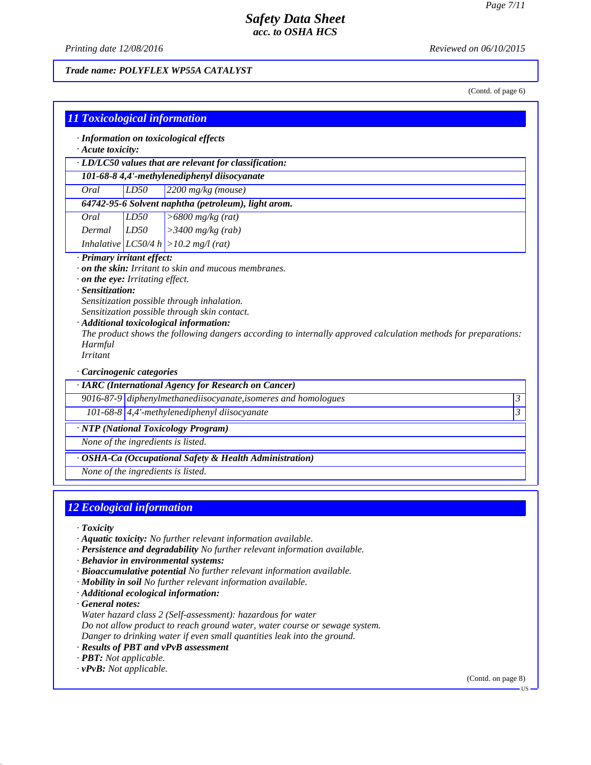*Printing date 12/08/2016 Reviewed on 06/10/2015*

### *Trade name: POLYFLEX WP55A CATALYST*

(Contd. of page 6)

| $\cdot$ Acute toxicity:    |                                    | · Information on toxicological effects                                                                                                                                                                    |                          |
|----------------------------|------------------------------------|-----------------------------------------------------------------------------------------------------------------------------------------------------------------------------------------------------------|--------------------------|
|                            |                                    | · LD/LC50 values that are relevant for classification:                                                                                                                                                    |                          |
|                            |                                    | 101-68-8 4,4'-methylenediphenyl diisocyanate                                                                                                                                                              |                          |
| Oral                       | LD50                               | 2200 mg/kg (mouse)                                                                                                                                                                                        |                          |
|                            |                                    | 64742-95-6 Solvent naphtha (petroleum), light arom.                                                                                                                                                       |                          |
| Oral                       | LD50                               | $>6800$ mg/kg (rat)                                                                                                                                                                                       |                          |
| Dermal                     | LD50                               | $>3400$ mg/kg (rab)                                                                                                                                                                                       |                          |
|                            |                                    | Inhalative $ LC50/4 h  > 10.2 mg/(rat)$                                                                                                                                                                   |                          |
|                            | · Sensitization:                   | Sensitization possible through inhalation.                                                                                                                                                                |                          |
| Harmful<br><b>Irritant</b> | · Carcinogenic categories          | Sensitization possible through skin contact.<br>· Additional toxicological information:<br>The product shows the following dangers according to internally approved calculation methods for preparations: |                          |
|                            |                                    | · IARC (International Agency for Research on Cancer)                                                                                                                                                      |                          |
|                            |                                    | 9016-87-9 diphenylmethanediisocyanate, isomeres and homologues<br>101-68-8 $\vert 4,4 \vert$ -methylenediphenyl diisocyanate                                                                              |                          |
|                            |                                    |                                                                                                                                                                                                           |                          |
|                            |                                    | · NTP (National Toxicology Program)                                                                                                                                                                       |                          |
|                            | None of the ingredients is listed. |                                                                                                                                                                                                           |                          |
|                            | None of the ingredients is listed. | · OSHA-Ca (Occupational Safety & Health Administration)                                                                                                                                                   | $\overline{\mathcal{E}}$ |

# *12 Ecological information*

*· Toxicity*

- *· Aquatic toxicity: No further relevant information available.*
- *· Persistence and degradability No further relevant information available.*
- *· Behavior in environmental systems:*
- *· Bioaccumulative potential No further relevant information available.*
- *· Mobility in soil No further relevant information available.*
- *· Additional ecological information:*

*· General notes:*

- *Water hazard class 2 (Self-assessment): hazardous for water*
- *Do not allow product to reach ground water, water course or sewage system.*
- *Danger to drinking water if even small quantities leak into the ground.*
- *· Results of PBT and vPvB assessment*
- *· PBT: Not applicable.*
- *· vPvB: Not applicable.*

(Contd. on page 8)

US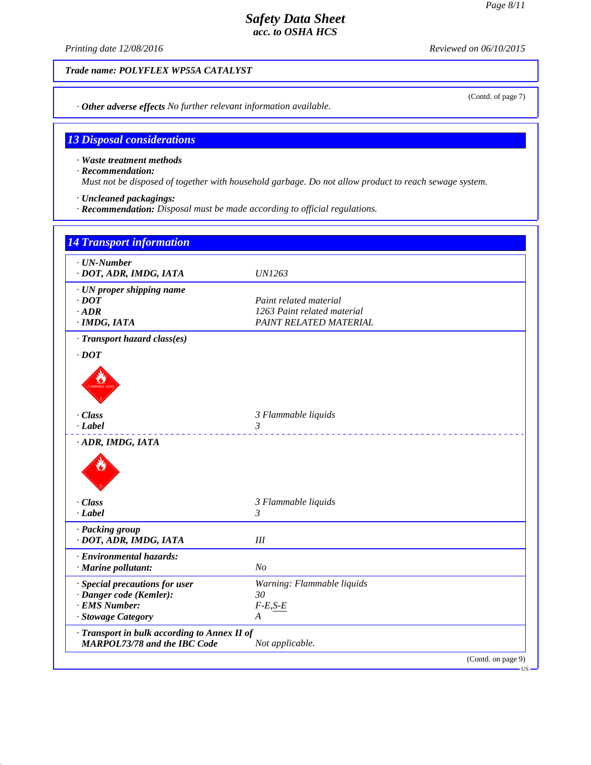(Contd. of page 7)

# *Safety Data Sheet acc. to OSHA HCS*

*Printing date 12/08/2016 Reviewed on 06/10/2015*

*Trade name: POLYFLEX WP55A CATALYST*

*· Other adverse effects No further relevant information available.*

# *13 Disposal considerations*

*· Waste treatment methods*

*· Recommendation:*

*Must not be disposed of together with household garbage. Do not allow product to reach sewage system.*

*· Uncleaned packagings:*

*· Recommendation: Disposal must be made according to official regulations.*

| Paint related material                                          |
|-----------------------------------------------------------------|
| 1263 Paint related material                                     |
| PAINT RELATED MATERIAL                                          |
|                                                                 |
|                                                                 |
|                                                                 |
|                                                                 |
| 3 Flammable liquids                                             |
| 3                                                               |
|                                                                 |
| 3 Flammable liquids                                             |
| $\mathfrak{Z}$                                                  |
|                                                                 |
| III                                                             |
|                                                                 |
| N <sub>o</sub>                                                  |
| Warning: Flammable liquids                                      |
| 30                                                              |
| $F$ - $E, S$ - $E$                                              |
| A                                                               |
| · Transport in bulk according to Annex II of<br>Not applicable. |
|                                                                 |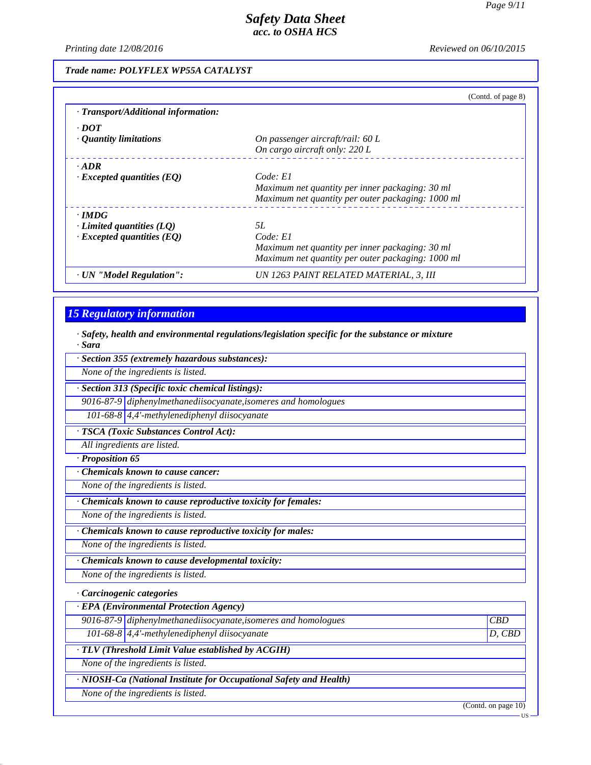*Printing date 12/08/2016 Reviewed on 06/10/2015*

### *Trade name: POLYFLEX WP55A CATALYST*

|                                     | (Contd. of page 8)                                |
|-------------------------------------|---------------------------------------------------|
| · Transport/Additional information: |                                                   |
| $\cdot$ DOT                         |                                                   |
| $\cdot$ Quantity limitations        | On passenger aircraft/rail: 60 L                  |
|                                     | On cargo aircraft only: 220 L                     |
| $\cdot$ ADR                         |                                                   |
| $\cdot$ Excepted quantities (EQ)    | Code: El                                          |
|                                     | Maximum net quantity per inner packaging: 30 ml   |
|                                     | Maximum net quantity per outer packaging: 1000 ml |
| $\cdot$ IMDG                        |                                                   |
| $\cdot$ Limited quantities (LQ)     | 5L                                                |
| $\cdot$ Excepted quantities (EQ)    | Code: E1                                          |
|                                     | Maximum net quantity per inner packaging: 30 ml   |
|                                     | Maximum net quantity per outer packaging: 1000 ml |
| · UN "Model Regulation":            | UN 1263 PAINT RELATED MATERIAL, 3, III            |

# *15 Regulatory information*

*· Safety, health and environmental regulations/legislation specific for the substance or mixture · Sara*

*· Section 355 (extremely hazardous substances):*

*None of the ingredients is listed.*

*· Section 313 (Specific toxic chemical listings):*

*9016-87-9 diphenylmethanediisocyanate,isomeres and homologues*

*101-68-8 4,4'-methylenediphenyl diisocyanate*

*· TSCA (Toxic Substances Control Act):*

*All ingredients are listed.*

*· Proposition 65*

*· Chemicals known to cause cancer:*

*None of the ingredients is listed.*

*· Chemicals known to cause reproductive toxicity for females:*

*None of the ingredients is listed.*

*· Chemicals known to cause reproductive toxicity for males:*

*None of the ingredients is listed.*

*· Chemicals known to cause developmental toxicity:*

*None of the ingredients is listed.*

#### *· Carcinogenic categories*

*· EPA (Environmental Protection Agency)*

|                                                          | 9016-87-9 diphenylmethanediisocyanate, isomeres and homologues     | CBD      |  |
|----------------------------------------------------------|--------------------------------------------------------------------|----------|--|
|                                                          | 101-68-8 $\vert$ 4,4'-methylenediphenyl diisocyanate               | $D,$ CBD |  |
| $\cdot$ TLV (Threshold Limit Value established by ACGIH) |                                                                    |          |  |
| None of the ingredients is listed.                       |                                                                    |          |  |
|                                                          | · NIOSH-Ca (National Institute for Occupational Safety and Health) |          |  |

*None of the ingredients is listed.*

(Contd. on page 10)

US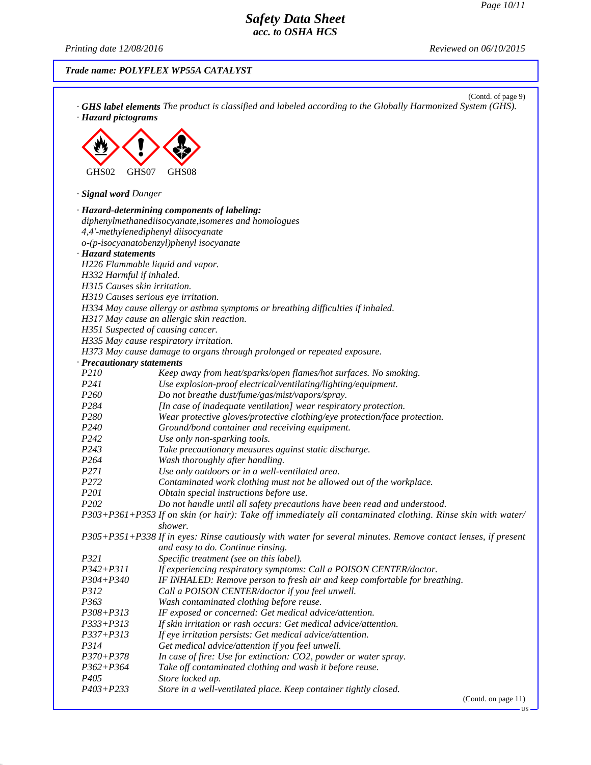*Printing date 12/08/2016 Reviewed on 06/10/2015*

# *Trade name: POLYFLEX WP55A CATALYST*

| · Hazard pictograms               | (Contd. of page 9)<br>GHS label elements The product is classified and labeled according to the Globally Harmonized System (GHS). |
|-----------------------------------|-----------------------------------------------------------------------------------------------------------------------------------|
|                                   |                                                                                                                                   |
|                                   |                                                                                                                                   |
|                                   |                                                                                                                                   |
| GHS02<br>GHS07                    | GHS08                                                                                                                             |
|                                   |                                                                                                                                   |
| · Signal word Danger              |                                                                                                                                   |
|                                   | · Hazard-determining components of labeling:                                                                                      |
|                                   | diphenylmethanediisocyanate, isomeres and homologues                                                                              |
|                                   | 4,4'-methylenediphenyl diisocyanate                                                                                               |
|                                   | o-(p-isocyanatobenzyl)phenyl isocyanate                                                                                           |
| · Hazard statements               |                                                                                                                                   |
|                                   | H226 Flammable liquid and vapor.                                                                                                  |
| H332 Harmful if inhaled.          |                                                                                                                                   |
| H315 Causes skin irritation.      |                                                                                                                                   |
|                                   | H319 Causes serious eye irritation.                                                                                               |
|                                   | H334 May cause allergy or asthma symptoms or breathing difficulties if inhaled.                                                   |
|                                   | H317 May cause an allergic skin reaction.                                                                                         |
|                                   | H351 Suspected of causing cancer.                                                                                                 |
|                                   | H335 May cause respiratory irritation.                                                                                            |
|                                   | H373 May cause damage to organs through prolonged or repeated exposure.                                                           |
| · Precautionary statements        |                                                                                                                                   |
| P210<br>P241                      | Keep away from heat/sparks/open flames/hot surfaces. No smoking.                                                                  |
| P <sub>260</sub>                  | Use explosion-proof electrical/ventilating/lighting/equipment.<br>Do not breathe dust/fume/gas/mist/vapors/spray.                 |
| P284                              | [In case of inadequate ventilation] wear respiratory protection.                                                                  |
| P280                              | Wear protective gloves/protective clothing/eye protection/face protection.                                                        |
| P240                              | Ground/bond container and receiving equipment.                                                                                    |
| P242                              | Use only non-sparking tools.                                                                                                      |
| P <sub>243</sub>                  | Take precautionary measures against static discharge.                                                                             |
| P264                              | Wash thoroughly after handling.                                                                                                   |
| P271                              | Use only outdoors or in a well-ventilated area.                                                                                   |
| P272                              | Contaminated work clothing must not be allowed out of the workplace.                                                              |
| P201                              | Obtain special instructions before use.                                                                                           |
| P202                              | Do not handle until all safety precautions have been read and understood.                                                         |
|                                   | P303+P361+P353 If on skin (or hair): Take off immediately all contaminated clothing. Rinse skin with water/                       |
|                                   | shower.                                                                                                                           |
|                                   | P305+P351+P338 If in eyes: Rinse cautiously with water for several minutes. Remove contact lenses, if present                     |
|                                   | and easy to do. Continue rinsing.                                                                                                 |
| P321                              | Specific treatment (see on this label).                                                                                           |
| $P342 + P311$                     | If experiencing respiratory symptoms: Call a POISON CENTER/doctor.                                                                |
| P304+P340                         | IF INHALED: Remove person to fresh air and keep comfortable for breathing.                                                        |
| P312                              | Call a POISON CENTER/doctor if you feel unwell.                                                                                   |
| P363                              | Wash contaminated clothing before reuse.                                                                                          |
| $P308 + P313$                     | IF exposed or concerned: Get medical advice/attention.                                                                            |
| $P333 + P313$                     | If skin irritation or rash occurs: Get medical advice/attention.                                                                  |
| $P337 + P313$                     | If eye irritation persists: Get medical advice/attention.                                                                         |
| P314                              | Get medical advice/attention if you feel unwell.                                                                                  |
| $P370 + P378$                     | In case of fire: Use for extinction: CO2, powder or water spray.                                                                  |
| $P362 + P364$<br>P <sub>405</sub> | Take off contaminated clothing and wash it before reuse.                                                                          |
| $P403 + P233$                     | Store locked up.                                                                                                                  |
|                                   | Store in a well-ventilated place. Keep container tightly closed.                                                                  |

(Contd. on page 11)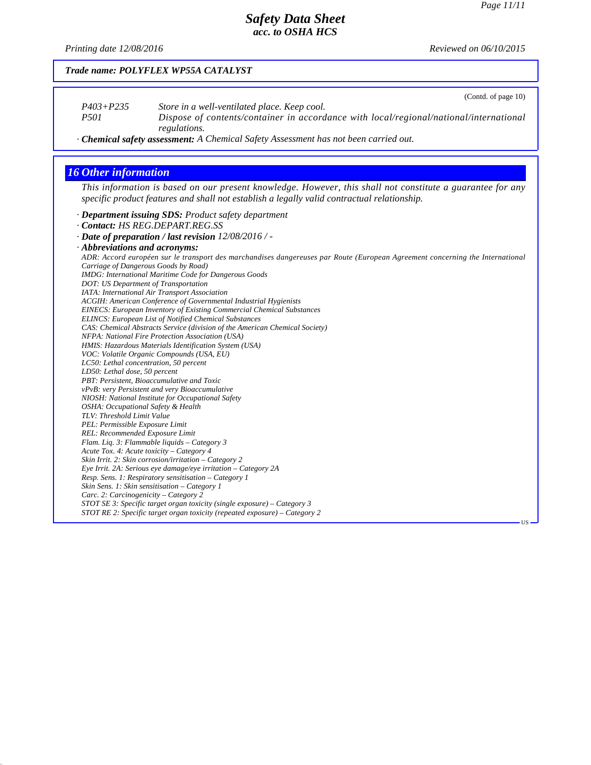# *Safety Data Sheet acc. to OSHA HCS*

*Printing date 12/08/2016 Reviewed on 06/10/2015*

|                                                                         | (Contd. of page 10)                                                                                                                                                                                       |
|-------------------------------------------------------------------------|-----------------------------------------------------------------------------------------------------------------------------------------------------------------------------------------------------------|
| $P403 + P235$                                                           | Store in a well-ventilated place. Keep cool.                                                                                                                                                              |
| P <sub>501</sub>                                                        | Dispose of contents/container in accordance with local/regional/national/international                                                                                                                    |
|                                                                         | regulations.                                                                                                                                                                                              |
|                                                                         | · Chemical safety assessment: A Chemical Safety Assessment has not been carried out.                                                                                                                      |
|                                                                         |                                                                                                                                                                                                           |
| <b>16 Other information</b>                                             |                                                                                                                                                                                                           |
|                                                                         | This information is based on our present knowledge. However, this shall not constitute a guarantee for any<br>specific product features and shall not establish a legally valid contractual relationship. |
|                                                                         | · Department issuing SDS: Product safety department                                                                                                                                                       |
|                                                                         | · Contact: HS REG.DEPART.REG.SS                                                                                                                                                                           |
|                                                                         | · Date of preparation / last revision 12/08/2016 / -                                                                                                                                                      |
| · Abbreviations and acronyms:                                           |                                                                                                                                                                                                           |
|                                                                         | ADR: Accord européen sur le transport des marchandises dangereuses par Route (European Agreement concerning the International                                                                             |
|                                                                         | Carriage of Dangerous Goods by Road)                                                                                                                                                                      |
|                                                                         | IMDG: International Maritime Code for Dangerous Goods                                                                                                                                                     |
| DOT: US Department of Transportation                                    |                                                                                                                                                                                                           |
|                                                                         | IATA: International Air Transport Association                                                                                                                                                             |
|                                                                         | ACGIH: American Conference of Governmental Industrial Hygienists                                                                                                                                          |
|                                                                         | <b>EINECS: European Inventory of Existing Commercial Chemical Substances</b>                                                                                                                              |
|                                                                         | <b>ELINCS: European List of Notified Chemical Substances</b>                                                                                                                                              |
|                                                                         | CAS: Chemical Abstracts Service (division of the American Chemical Society)                                                                                                                               |
|                                                                         | NFPA: National Fire Protection Association (USA)                                                                                                                                                          |
|                                                                         | HMIS: Hazardous Materials Identification System (USA)                                                                                                                                                     |
|                                                                         | VOC: Volatile Organic Compounds (USA, EU)                                                                                                                                                                 |
| LC50: Lethal concentration, 50 percent<br>LD50: Lethal dose, 50 percent |                                                                                                                                                                                                           |
|                                                                         | PBT: Persistent, Bioaccumulative and Toxic                                                                                                                                                                |
|                                                                         | vPvB: very Persistent and very Bioaccumulative                                                                                                                                                            |
|                                                                         | NIOSH: National Institute for Occupational Safety                                                                                                                                                         |
|                                                                         |                                                                                                                                                                                                           |
| OSHA: Occupational Safety & Health                                      |                                                                                                                                                                                                           |
| TLV: Threshold Limit Value                                              |                                                                                                                                                                                                           |
| PEL: Permissible Exposure Limit                                         |                                                                                                                                                                                                           |
| REL: Recommended Exposure Limit                                         |                                                                                                                                                                                                           |
|                                                                         | Flam. Liq. 3: Flammable liquids - Category 3                                                                                                                                                              |
|                                                                         | Acute Tox. 4: Acute toxicity – Category 4                                                                                                                                                                 |
|                                                                         | Skin Irrit. 2: Skin corrosion/irritation – Category 2                                                                                                                                                     |
|                                                                         | Eye Irrit. 2A: Serious eye damage/eye irritation $-$ Category 2A                                                                                                                                          |
|                                                                         | Resp. Sens. 1: Respiratory sensitisation - Category 1                                                                                                                                                     |
|                                                                         | Skin Sens. 1: Skin sensitisation – Category 1                                                                                                                                                             |
| Carc. 2: Carcinogenicity - Category 2                                   | STOT SE 3: Specific target organ toxicity (single exposure) - Category 3                                                                                                                                  |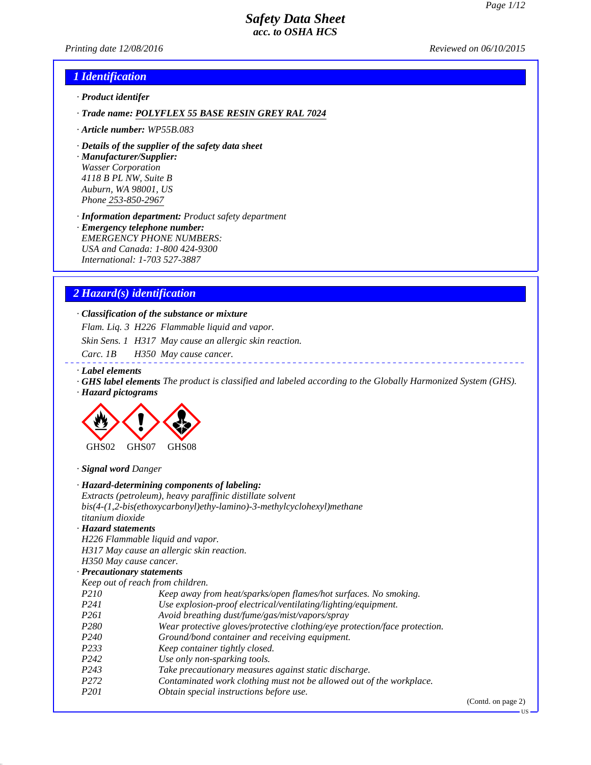*Printing date 12/08/2016 Reviewed on 06/10/2015*

## *1 Identification*

- *· Product identifer*
- *· Trade name: POLYFLEX 55 BASE RESIN GREY RAL 7024*
- *· Article number: WP55B.083*
- *· Details of the supplier of the safety data sheet*

*· Manufacturer/Supplier: Wasser Corporation 4118 B PL NW, Suite B Auburn, WA 98001, US Phone 253-850-2967*

*· Information department: Product safety department*

*· Emergency telephone number: EMERGENCY PHONE NUMBERS: USA and Canada: 1-800 424-9300 International: 1-703 527-3887*

#### *2 Hazard(s) identification*

### *· Classification of the substance or mixture*

*Flam. Liq. 3 H226 Flammable liquid and vapor.*

*Skin Sens. 1 H317 May cause an allergic skin reaction.*

- *Carc. 1B H350 May cause cancer.*
- *· Label elements*
- *· GHS label elements The product is classified and labeled according to the Globally Harmonized System (GHS).*
- *· Hazard pictograms*



| · Signal word Danger             |                                                                            |
|----------------------------------|----------------------------------------------------------------------------|
|                                  | · Hazard-determining components of labeling:                               |
|                                  | Extracts (petroleum), heavy paraffinic distillate solvent                  |
|                                  | $bis(4-(1,2-bis(ethoxycarbonyl)ethy-lamino)-3-methylcyclohexyl) method$    |
| titanium dioxide                 |                                                                            |
| · Hazard statements              |                                                                            |
| H226 Flammable liquid and vapor. |                                                                            |
|                                  | H317 May cause an allergic skin reaction.                                  |
| H350 May cause cancer.           |                                                                            |
| · Precautionary statements       |                                                                            |
| Keep out of reach from children. |                                                                            |
| P <sub>210</sub>                 | Keep away from heat/sparks/open flames/hot surfaces. No smoking.           |
| P <sub>241</sub>                 | Use explosion-proof electrical/ventilating/lighting/equipment.             |
| P <sub>261</sub>                 | Avoid breathing dust/fume/gas/mist/vapors/spray                            |
| P <sub>280</sub>                 | Wear protective gloves/protective clothing/eye protection/face protection. |
| P <sub>240</sub>                 | Ground/bond container and receiving equipment.                             |
| P <sub>2</sub> 33                | Keep container tightly closed.                                             |
| P <sub>242</sub>                 | Use only non-sparking tools.                                               |
| P <sub>243</sub>                 | Take precautionary measures against static discharge.                      |
| P <sub>272</sub>                 | Contaminated work clothing must not be allowed out of the workplace.       |
| P <sub>201</sub>                 | Obtain special instructions before use.                                    |
|                                  |                                                                            |

(Contd. on page 2)

US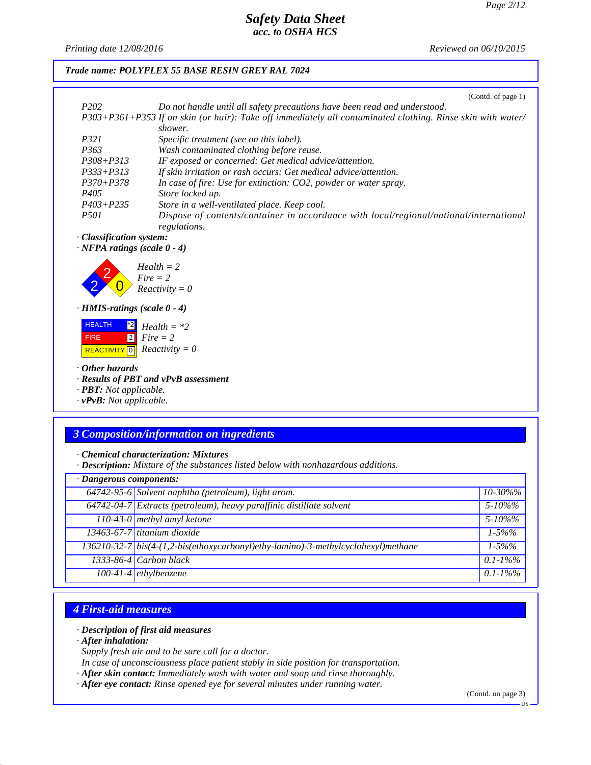*Printing date 12/08/2016 Reviewed on 06/10/2015*

### *Trade name: POLYFLEX 55 BASE RESIN GREY RAL 7024*

|                  | (Contd. of page $1$ )                                                                                       |
|------------------|-------------------------------------------------------------------------------------------------------------|
| P <sub>202</sub> | Do not handle until all safety precautions have been read and understood.                                   |
|                  | P303+P361+P353 If on skin (or hair): Take off immediately all contaminated clothing. Rinse skin with water/ |
|                  | shower.                                                                                                     |
| P321             | Specific treatment (see on this label).                                                                     |
| P363             | Wash contaminated clothing before reuse.                                                                    |
| P308+P313        | IF exposed or concerned: Get medical advice/attention.                                                      |
| P333+P313        | If skin irritation or rash occurs: Get medical advice/attention.                                            |
| P370+P378        | In case of fire: Use for extinction: CO2, powder or water spray.                                            |
| P405             | Store locked up.                                                                                            |
| P403+P235        | Store in a well-ventilated place. Keep cool.                                                                |
| <i>P501</i>      | Dispose of contents/container in accordance with local/regional/national/international<br>regulations.      |
|                  |                                                                                                             |

*· Classification system:*

*· NFPA ratings (scale 0 - 4)*



*· HMIS-ratings (scale 0 - 4)*

| <b>HEALTH</b> | $\begin{bmatrix} 2 \\ 2 \end{bmatrix}$ Health = *2 |
|---------------|----------------------------------------------------|
| <b>FIRE</b>   | $\parallel$ 2 Fire $=$ 2                           |
|               | REACTIVITY $\boxed{0}$ <i>Reactivity</i> = 0       |

*· Other hazards*

*· Results of PBT and vPvB assessment*

*· PBT: Not applicable.*

*· vPvB: Not applicable.*

# *3 Composition/information on ingredients*

*· Chemical characterization: Mixtures*

*· Description: Mixture of the substances listed below with nonhazardous additions.*

| · Dangerous components: |                                                                                   |               |  |
|-------------------------|-----------------------------------------------------------------------------------|---------------|--|
|                         | 64742-95-6 Solvent naphtha (petroleum), light arom.                               | $10 - 30\%$ % |  |
|                         | 64742-04-7 Extracts (petroleum), heavy paraffinic distillate solvent              | $5 - 10\%$ %  |  |
|                         | 110-43-0 methyl amyl ketone                                                       | $5 - 10\%$ %  |  |
|                         | 13463-67-7 titanium dioxide                                                       | $1 - 5\%%$    |  |
|                         | 136210-32-7 bis(4-(1,2-bis(ethoxycarbonyl)ethy-lamino)-3-methylcyclohexyl)methane | $1 - 5\%%$    |  |
|                         | $1333-86-4$ Carbon black                                                          | $0.1 - 1\%$ % |  |
|                         | $100-41-4$ ethylbenzene                                                           | $0.1 - 1\%$ % |  |

## *4 First-aid measures*

#### *· Description of first aid measures*

*· After inhalation:*

*Supply fresh air and to be sure call for a doctor.*

*In case of unconsciousness place patient stably in side position for transportation.*

- *· After skin contact: Immediately wash with water and soap and rinse thoroughly.*
- *· After eye contact: Rinse opened eye for several minutes under running water.*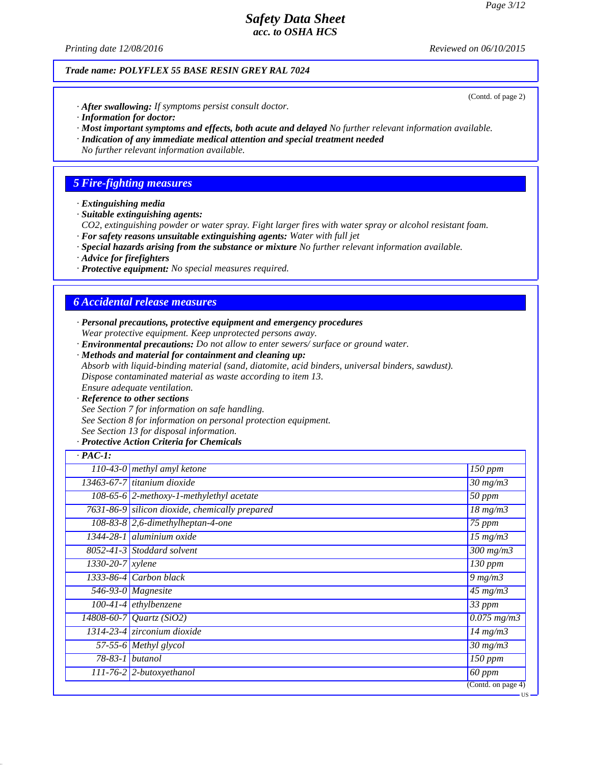*Printing date 12/08/2016 Reviewed on 06/10/2015*

### *Trade name: POLYFLEX 55 BASE RESIN GREY RAL 7024*

- *· After swallowing: If symptoms persist consult doctor.*
- *· Information for doctor:*
- *· Most important symptoms and effects, both acute and delayed No further relevant information available.*
- *· Indication of any immediate medical attention and special treatment needed*
- *No further relevant information available.*

## *5 Fire-fighting measures*

- *· Extinguishing media*
- *· Suitable extinguishing agents:*
- *CO2, extinguishing powder or water spray. Fight larger fires with water spray or alcohol resistant foam.*
- *· For safety reasons unsuitable extinguishing agents: Water with full jet*
- *· Special hazards arising from the substance or mixture No further relevant information available.*
- *· Advice for firefighters*
- *· Protective equipment: No special measures required.*

# *6 Accidental release measures*

- *· Personal precautions, protective equipment and emergency procedures Wear protective equipment. Keep unprotected persons away.*
- *· Environmental precautions: Do not allow to enter sewers/ surface or ground water.*
- *· Methods and material for containment and cleaning up: Absorb with liquid-binding material (sand, diatomite, acid binders, universal binders, sawdust). Dispose contaminated material as waste according to item 13. Ensure adequate ventilation.*
- *· Reference to other sections See Section 7 for information on safe handling.*
- *See Section 8 for information on personal protection equipment.*
- *See Section 13 for disposal information.*

### *· Protective Action Criteria for Chemicals*

| $\cdot$ PAC-1:                |                                                   |                                      |
|-------------------------------|---------------------------------------------------|--------------------------------------|
|                               | 110-43-0 methyl amyl ketone                       | $\overline{150}$ ppm                 |
|                               | 13463-67-7 titanium dioxide                       | $\frac{30 \text{ mg}}{m}$            |
|                               | 108-65-6 $\sqrt{2$ -methoxy-1-methylethyl acetate | 50 ppm                               |
|                               | 7631-86-9 silicon dioxide, chemically prepared    | $18 \, mg/m3$                        |
|                               | $108-83-8$ 2,6-dimethylheptan-4-one               | $\sqrt{75}$ ppm                      |
|                               | 1344-28-1 aluminium oxide                         | $\overline{15}$ mg/m3                |
|                               | $8052 - 41 - 3$ Stoddard solvent                  | $\overline{300}$ mg/m $\overline{3}$ |
| $\overline{1330-20-7}$ xylene |                                                   | 130 ppm                              |
|                               | $1333-86-4$ Carbon black                          | $9 \, mg/m3$                         |
|                               | $\overline{546}$ -93-0   Magnesite                | $45 \text{ mg/m}$                    |
|                               | $100-41-4$ ethylbenzene                           | 33 ppm                               |
|                               | 14808-60-7 Quartz (SiO2)                          | $\overline{0.075}$ mg/m3             |
|                               | 1314-23-4 zirconium dioxide                       | $14$ mg/m $3$                        |
|                               | 57-55-6 Methyl glycol                             | $\frac{30 \text{ m}g}{m}$            |
|                               | $78-83-1$ butanol                                 | 150 ppm                              |
|                               | $111-76-2$ 2-butoxyethanol                        | 60 ppm                               |
|                               |                                                   | (Contd. on page 4)                   |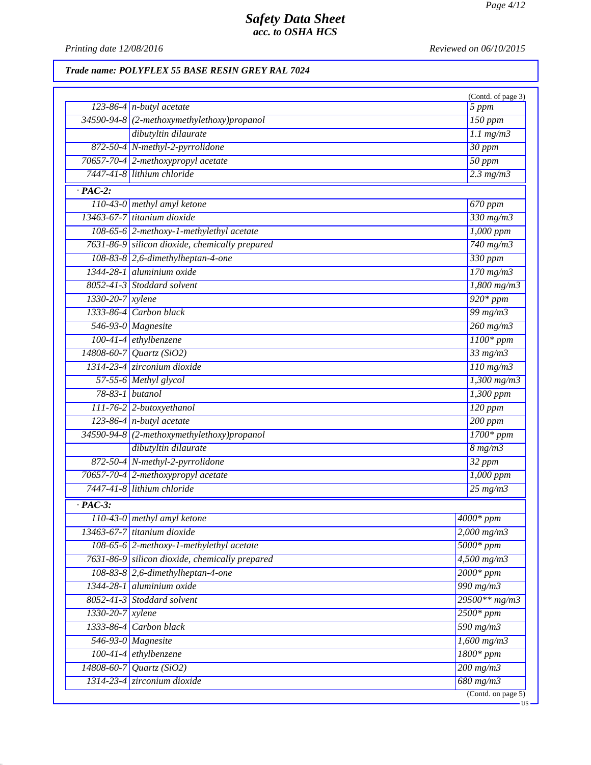*Printing date 12/08/2016 Reviewed on 06/10/2015*

# *Trade name: POLYFLEX 55 BASE RESIN GREY RAL 7024*

|                  |                                                |                            | (Contd. of page 3)       |
|------------------|------------------------------------------------|----------------------------|--------------------------|
|                  | $123-86-4$ n-butyl acetate                     |                            | $\overline{5}$ ppm       |
|                  | 34590-94-8 (2-methoxymethylethoxy)propanol     |                            | $150$ ppm                |
|                  | dibutyltin dilaurate                           |                            | $1.1$ mg/m $3$           |
|                  | 872-50-4 N-methyl-2-pyrrolidone                |                            | $\overline{30}$ ppm      |
|                  | 70657-70-4 2-methoxypropyl acetate             |                            | $\overline{50~ppm}$      |
|                  | 7447-41-8 lithium chloride                     |                            | $2.3$ mg/m $3$           |
| $\cdot$ PAC-2:   |                                                |                            |                          |
|                  | 110-43-0 methyl amyl ketone                    |                            | 670 ppm                  |
|                  | 13463-67-7 titanium dioxide                    |                            | $330$ mg/m $3$           |
|                  | 108-65-6 2-methoxy-1-methylethyl acetate       |                            | $1,000$ ppm              |
|                  | 7631-86-9 silicon dioxide, chemically prepared |                            | $740$ mg/m $3$           |
|                  | $108-83-8$ 2,6-dimethylheptan-4-one            |                            | 330 ppm                  |
|                  | 1344-28-1 aluminium oxide                      |                            | $170$ mg/m $3$           |
|                  | 8052-41-3 Stoddard solvent                     |                            | $1,800$ mg/m3            |
| 1330-20-7 xylene |                                                |                            | $\frac{1}{920*ppm}$      |
|                  | 1333-86-4 Carbon black                         |                            | 99 $mg/m3$               |
|                  | 546-93-0 $Magnesite$                           |                            | $260$ mg/m $3$           |
|                  | 100-41-4 ethylbenzene                          |                            | $1100*ppm$               |
|                  | 14808-60-7 Quartz (SiO2)                       |                            | $33$ mg/m $3$            |
|                  | 1314-23-4 zirconium dioxide                    |                            | $110$ mg/m $3$           |
|                  | 57-55-6 Methyl glycol                          |                            | $\overline{1,300}$ mg/m3 |
|                  | 78-83-1 butanol                                |                            | 1,300 ppm                |
|                  | 111-76-2 2-butoxyethanol                       |                            | $120$ ppm                |
|                  | $123-86-4$ n-butyl acetate                     |                            | $\overline{200~ppm}$     |
|                  | 34590-94-8 (2-methoxymethylethoxy)propanol     |                            | $\overline{1700*ppm}$    |
|                  | dibutyltin dilaurate                           |                            | $8 \frac{mg}{m3}$        |
|                  | 872-50-4 N-methyl-2-pyrrolidone                |                            | $\overline{32\ ppm}$     |
|                  | 70657-70-4 2-methoxypropyl acetate             |                            | $1,000$ ppm              |
|                  | 7447-41-8 lithium chloride                     |                            | $25 \text{ mg/m}$        |
| $\cdot$ PAC-3:   |                                                |                            |                          |
|                  | 110-43-0 methyl amyl ketone                    | $\sqrt{4000*}$ ppm         |                          |
|                  | 13463-67-7 titanium dioxide                    |                            | $2,000$ mg/m $3$         |
|                  | 108-65-6 2-methoxy-1-methylethyl acetate       | $5000*ppm$                 |                          |
|                  | 7631-86-9 silicon dioxide, chemically prepared |                            | $4,500$ mg/m3            |
|                  | $108-83-8$ 2,6-dimethylheptan-4-one            |                            | $2000*ppm$               |
|                  | $1344-28-1$ aluminium oxide                    |                            | 990 $mg/m3$              |
|                  | 8052-41-3 Stoddard solvent                     |                            | $29500**mg/m3$           |
| 1330-20-7 xylene |                                                |                            | $2500*ppm$               |
|                  | 1333-86-4 Carbon black                         | $590$ mg/m $3$             |                          |
|                  | 546-93-0 Magnesite                             |                            | $1,600$ mg/m3            |
|                  | 100-41-4 ethylbenzene                          |                            | $1800*ppm$               |
|                  | 14808-60-7 Quartz (SiO2)                       | $200$ mg/m $3$             |                          |
|                  | 1314-23-4 zirconium dioxide                    | $\sqrt{680 \text{ mg/m3}}$ |                          |
|                  |                                                |                            | (Cond. on page 5)        |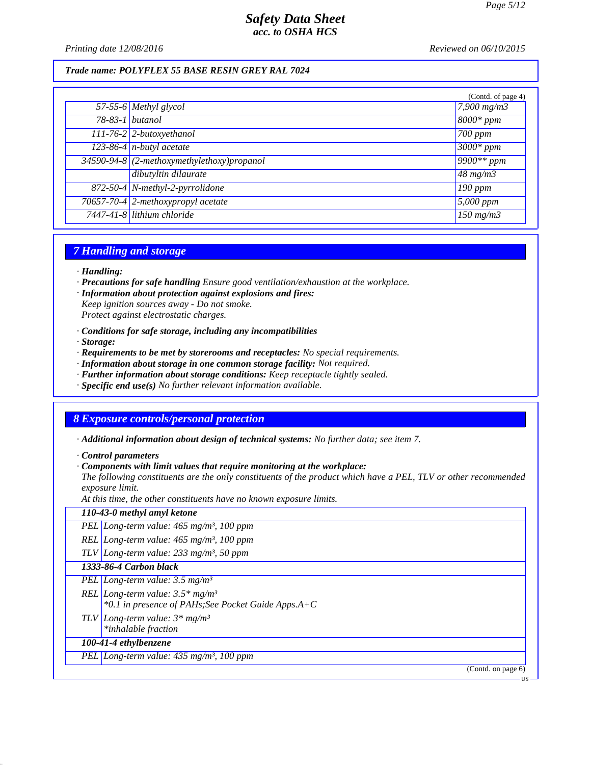*Printing date 12/08/2016 Reviewed on 06/10/2015*

#### *Trade name: POLYFLEX 55 BASE RESIN GREY RAL 7024*

|                 |                                              | (Contd. of page 4) |
|-----------------|----------------------------------------------|--------------------|
|                 | $\overline{57-55-6}$ Methyl glycol           | $7,900$ mg/m3      |
| 78-83-1 butanol |                                              | $8000*$ ppm        |
|                 | 111-76-2 2-butoxyethanol                     | $700$ ppm          |
|                 | $123-86-4$ n-butyl acetate                   | $3000*ppm$         |
|                 | $34590-94-8$ (2-methoxymethylethoxy)propanol | $9900**$ ppm       |
|                 | dibutyltin dilaurate                         | $\sqrt{48}$ mg/m3  |
|                 | 872-50-4 N-methyl-2-pyrrolidone              | $190$ ppm          |
|                 | 70657-70-4 2-methoxypropyl acetate           | $5,000$ ppm        |
|                 | 7447-41-8 lithium chloride                   | $150$ mg/m $3$     |

## *7 Handling and storage*

- *· Handling:*
- *· Precautions for safe handling Ensure good ventilation/exhaustion at the workplace.*
- *· Information about protection against explosions and fires:*

*Keep ignition sources away - Do not smoke. Protect against electrostatic charges.*

- *· Conditions for safe storage, including any incompatibilities*
- *· Storage:*
- *· Requirements to be met by storerooms and receptacles: No special requirements.*
- *· Information about storage in one common storage facility: Not required.*
- *· Further information about storage conditions: Keep receptacle tightly sealed.*
- *· Specific end use(s) No further relevant information available.*

## *8 Exposure controls/personal protection*

*· Additional information about design of technical systems: No further data; see item 7.*

*· Control parameters*

*· Components with limit values that require monitoring at the workplace:*

*The following constituents are the only constituents of the product which have a PEL, TLV or other recommended exposure limit.*

*At this time, the other constituents have no known exposure limits.*

| 110-43-0 methyl amyl ketone                                                                             |
|---------------------------------------------------------------------------------------------------------|
| PEL Long-term value: $465$ mg/m <sup>3</sup> , 100 ppm                                                  |
| REL Long-term value: $465$ mg/m <sup>3</sup> , 100 ppm                                                  |
| TLV Long-term value: $233$ mg/m <sup>3</sup> , 50 ppm                                                   |
| 1333-86-4 Carbon black                                                                                  |
| PEL   Long-term value: $3.5 \text{ mg/m}^3$                                                             |
| REL Long-term value: $3.5*$ mg/m <sup>3</sup><br>*0.1 in presence of PAHs; See Pocket Guide Apps. $A+C$ |
| TLV Long-term value: $3*mg/m^3$<br>*inhalable fraction                                                  |
| 100-41-4 ethylbenzene                                                                                   |
| PEL Long-term value: 435 mg/m <sup>3</sup> , 100 ppm                                                    |
| (Contd. on page 6)                                                                                      |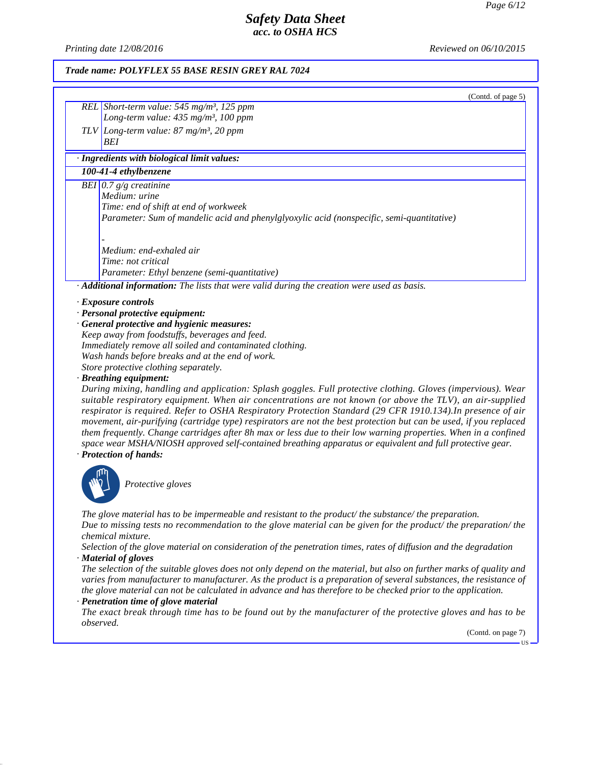*Printing date 12/08/2016 Reviewed on 06/10/2015*

#### *Trade name: POLYFLEX 55 BASE RESIN GREY RAL 7024*

| (Contd. of page 5) |
|--------------------|
|                    |
|                    |
|                    |

*BEI*

# *· Ingredients with biological limit values:*

*REL Short-term value: 545 mg/m³, 125 ppm Long-term value: 435 mg/m³, 100 ppm*

*TLV Long-term value: 87 mg/m³, 20 ppm*

### *100-41-4 ethylbenzene*

*BEI 0.7 g/g creatinine Medium: urine Time: end of shift at end of workweek Parameter: Sum of mandelic acid and phenylglyoxylic acid (nonspecific, semi-quantitative) -* 

*Medium: end-exhaled air Time: not critical Parameter: Ethyl benzene (semi-quantitative)*

*· Additional information: The lists that were valid during the creation were used as basis.*

*· Exposure controls*

*· Personal protective equipment:*

*· General protective and hygienic measures: Keep away from foodstuffs, beverages and feed. Immediately remove all soiled and contaminated clothing. Wash hands before breaks and at the end of work. Store protective clothing separately.*

*· Breathing equipment:*

*During mixing, handling and application: Splash goggles. Full protective clothing. Gloves (impervious). Wear suitable respiratory equipment. When air concentrations are not known (or above the TLV), an air-supplied respirator is required. Refer to OSHA Respiratory Protection Standard (29 CFR 1910.134).In presence of air movement, air-purifying (cartridge type) respirators are not the best protection but can be used, if you replaced them frequently. Change cartridges after 8h max or less due to their low warning properties. When in a confined space wear MSHA/NIOSH approved self-contained breathing apparatus or equivalent and full protective gear. · Protection of hands:*



\_S*Protective gloves*

*The glove material has to be impermeable and resistant to the product/ the substance/ the preparation. Due to missing tests no recommendation to the glove material can be given for the product/ the preparation/ the chemical mixture.*

*Selection of the glove material on consideration of the penetration times, rates of diffusion and the degradation · Material of gloves*

*The selection of the suitable gloves does not only depend on the material, but also on further marks of quality and varies from manufacturer to manufacturer. As the product is a preparation of several substances, the resistance of the glove material can not be calculated in advance and has therefore to be checked prior to the application.*

#### *· Penetration time of glove material*

*The exact break through time has to be found out by the manufacturer of the protective gloves and has to be observed.*

(Contd. on page 7)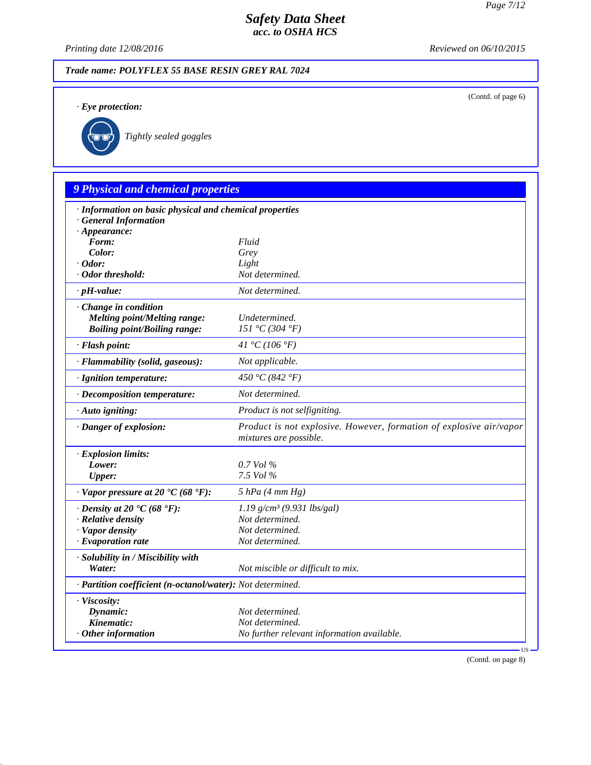(Contd. of page 6)

# *Safety Data Sheet acc. to OSHA HCS*

*Printing date 12/08/2016 Reviewed on 06/10/2015*

#### *Trade name: POLYFLEX 55 BASE RESIN GREY RAL 7024*

*· Eye protection:*



\_R*Tightly sealed goggles*

# *9 Physical and chemical properties · Information on basic physical and chemical properties · General Information · Appearance: Form: Fluid Color: Grey · Odor: Light · Odor threshold: Not determined. · pH-value: Not determined. · Change in condition Melting point/Melting range: Undetermined. Boiling point/Boiling range: 151 °C (304 °F) · Flash point: 41 °C (106 °F) · Flammability (solid, gaseous): Not applicable. · Ignition temperature: 450 °C (842 °F) · Decomposition temperature: Not determined. · Auto igniting: Product is not selfigniting. · Danger of explosion: Product is not explosive. However, formation of explosive air/vapor mixtures are possible. · Explosion limits: Lower: 0.7 Vol % Upper: 7.5 Vol % · Vapor pressure at 20 °C (68 °F): 5 hPa (4 mm Hg) · Density at 20 °C (68 °F): 1.19 g/cm³ (9.931 lbs/gal) · Relative density Not determined. · Vapor density Not determined. <i>·* Evaporation rate *· Solubility in / Miscibility with Water: Not miscible or difficult to mix. · Partition coefficient (n-octanol/water): Not determined. · Viscosity: Dynamic: Not determined.* **Kinematic:** *Not determined. Continued. Continued. Not determined. Not determined. · Other information No further relevant information available.*

(Contd. on page 8)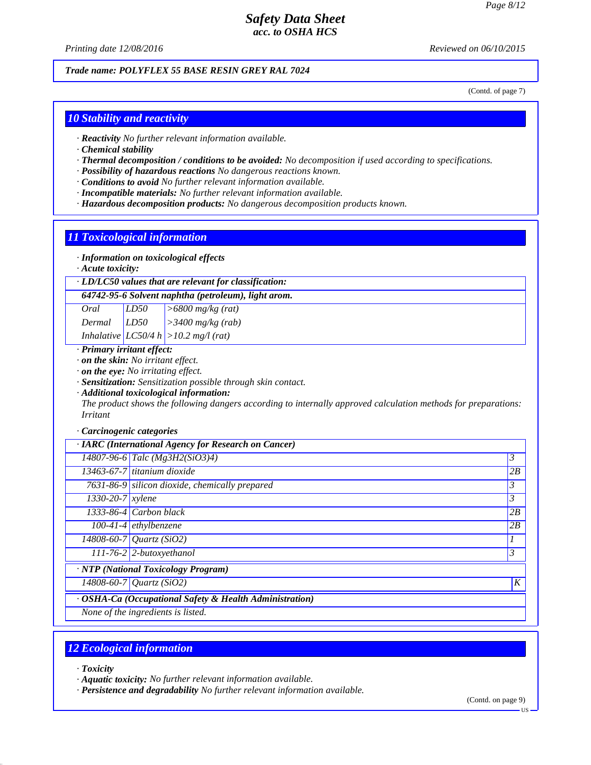*Printing date 12/08/2016 Reviewed on 06/10/2015*

### *Trade name: POLYFLEX 55 BASE RESIN GREY RAL 7024*

(Contd. of page 7)

#### *10 Stability and reactivity*

- *· Reactivity No further relevant information available.*
- *· Chemical stability*
- *· Thermal decomposition / conditions to be avoided: No decomposition if used according to specifications.*
- *· Possibility of hazardous reactions No dangerous reactions known.*
- *· Conditions to avoid No further relevant information available.*
- *· Incompatible materials: No further relevant information available.*
- *· Hazardous decomposition products: No dangerous decomposition products known.*

#### *11 Toxicological information*

#### *· Information on toxicological effects*

*· Acute toxicity:*

#### *· LD/LC50 values that are relevant for classification:*

*64742-95-6 Solvent naphtha (petroleum), light arom.*

| Oral   | LD50 | $\vert$ >6800 mg/kg (rat)                 |
|--------|------|-------------------------------------------|
| Dermal | LD50 | $\frac{3400 \text{ mg/kg}}{(\text{rab})}$ |
|        |      | Inhalative $ LC50/4 h  > 10.2 mg/l (rat)$ |

#### *· Primary irritant effect:*

*· on the skin: No irritant effect.*

*· on the eye: No irritating effect.*

*· Sensitization: Sensitization possible through skin contact.*

*· Additional toxicological information:*

*The product shows the following dangers according to internally approved calculation methods for preparations: Irritant*

#### *· Carcinogenic categories*

|                                    | · IARC (International Agency for Research on Cancer)    |                |
|------------------------------------|---------------------------------------------------------|----------------|
|                                    | 14807-96-6 Talc (Mg3H2(SiO3)4)                          | $\mathfrak{Z}$ |
|                                    | 13463-67-7 titanium dioxide                             | 2B             |
|                                    | $7631-86-9$ silicon dioxide, chemically prepared        | 3              |
| $1330 - 20 - 7$ <i>xylene</i>      |                                                         | 3              |
|                                    | $1333-86-4$ Carbon black                                | 2B             |
|                                    | $100-41-4$ ethylbenzene                                 | 2B             |
|                                    | 14808-60-7 Quartz (SiO2)                                | 1              |
|                                    | 111-76-2 2-butoxyethanol                                | $\mathfrak{Z}$ |
|                                    | · NTP (National Toxicology Program)                     |                |
|                                    | $14808 - 60 - 7$ <i>Quartz</i> (SiO2)                   | K              |
|                                    | · OSHA-Ca (Occupational Safety & Health Administration) |                |
| None of the ingredients is listed. |                                                         |                |

# *12 Ecological information*

*· Toxicity*

*· Aquatic toxicity: No further relevant information available.*

*· Persistence and degradability No further relevant information available.*

(Contd. on page 9)

US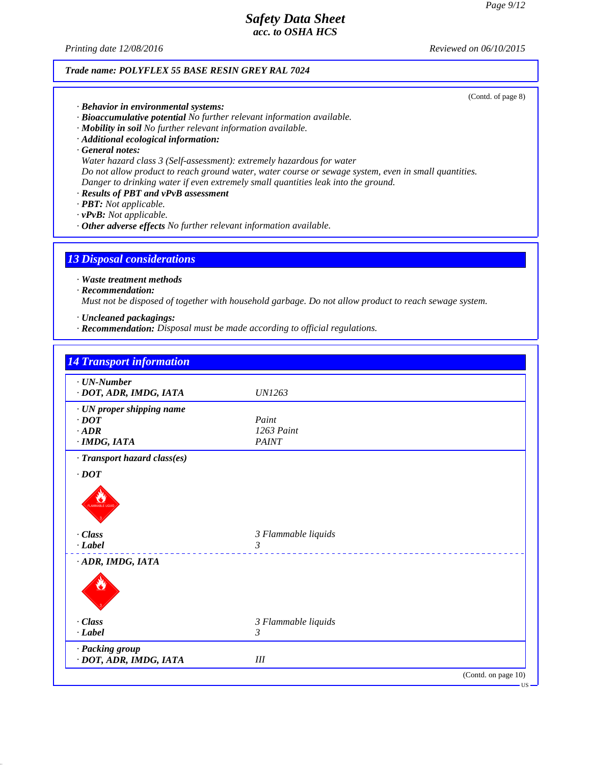*Printing date 12/08/2016 Reviewed on 06/10/2015*

### *Trade name: POLYFLEX 55 BASE RESIN GREY RAL 7024*

(Contd. of page 8)

- *· Behavior in environmental systems:*
- *· Bioaccumulative potential No further relevant information available.*
- *· Mobility in soil No further relevant information available.*
- *· Additional ecological information:*
- *· General notes:*
- *Water hazard class 3 (Self-assessment): extremely hazardous for water*
- *Do not allow product to reach ground water, water course or sewage system, even in small quantities. Danger to drinking water if even extremely small quantities leak into the ground.*
- *· Results of PBT and vPvB assessment*
- *· PBT: Not applicable.*
- *· vPvB: Not applicable.*
- *· Other adverse effects No further relevant information available.*

### *13 Disposal considerations*

*· Waste treatment methods*

*· Recommendation:*

*Must not be disposed of together with household garbage. Do not allow product to reach sewage system.*

- *· Uncleaned packagings:*
- *· Recommendation: Disposal must be made according to official regulations.*

| $\cdot$ UN-Number                         |                     |                          |
|-------------------------------------------|---------------------|--------------------------|
| · DOT, ADR, IMDG, IATA                    | <i>UN1263</i>       |                          |
| · UN proper shipping name                 |                     |                          |
| $\cdot$ DOT                               | Paint               |                          |
| $\cdot$ ADR                               | 1263 Paint          |                          |
| $\cdot$ IMDG, IATA                        | <b>PAINT</b>        |                          |
| · Transport hazard class(es)              |                     |                          |
| $\cdot$ DOT                               |                     |                          |
| ۹<br>LAMMABLE LIQU                        |                     |                          |
| · Class                                   | 3 Flammable liquids |                          |
| $\cdot$ Label                             | $\mathfrak{Z}$      | ________________________ |
| ADR, IMDG, IATA                           |                     |                          |
|                                           |                     |                          |
| · Class                                   | 3 Flammable liquids |                          |
| $\cdot$ Label                             | $\mathfrak{Z}$      |                          |
| · Packing group<br>· DOT, ADR, IMDG, IATA | III                 |                          |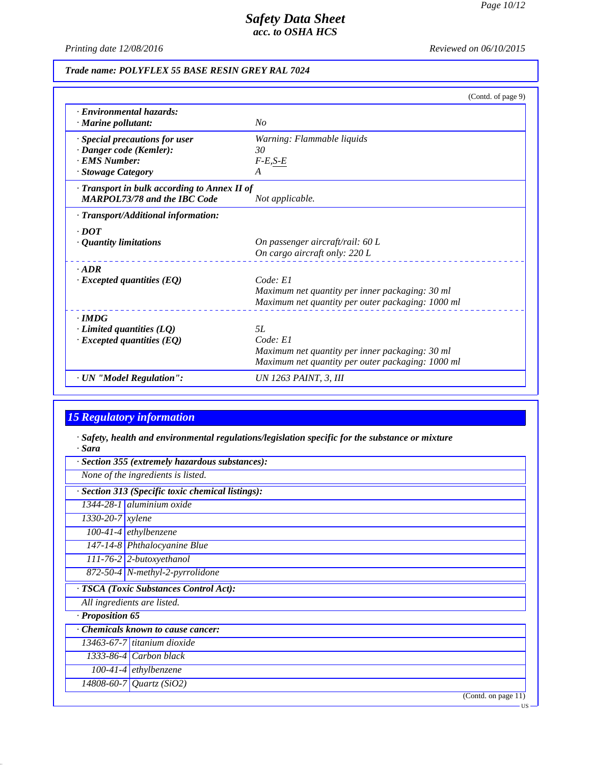*Printing date 12/08/2016 Reviewed on 06/10/2015*

### *Trade name: POLYFLEX 55 BASE RESIN GREY RAL 7024*

|                                                    | (Contd. of page 9)                                |
|----------------------------------------------------|---------------------------------------------------|
| · Environmental hazards:                           |                                                   |
| · Marine pollutant:                                | No                                                |
| · Special precautions for user                     | Warning: Flammable liquids                        |
| · Danger code (Kemler):                            | 30                                                |
| · EMS Number:                                      | $F-E,S-E$                                         |
| · Stowage Category                                 | A                                                 |
| $\cdot$ Transport in bulk according to Annex II of |                                                   |
| <b>MARPOL73/78 and the IBC Code</b>                | Not applicable.                                   |
| · Transport/Additional information:                |                                                   |
| $\cdot$ DOT                                        |                                                   |
| $\cdot$ Quantity limitations                       | On passenger aircraft/rail: 60 L                  |
|                                                    | On cargo aircraft only: 220 L                     |
| $-ADR$                                             |                                                   |
| $\cdot$ Excepted quantities (EQ)                   | Code: El                                          |
|                                                    | Maximum net quantity per inner packaging: 30 ml   |
|                                                    | Maximum net quantity per outer packaging: 1000 ml |
| $\cdot$ IMDG                                       |                                                   |
| $\cdot$ Limited quantities (LQ)                    | 5L                                                |
| $\cdot$ Excepted quantities (EQ)                   | Code: El                                          |
|                                                    | Maximum net quantity per inner packaging: 30 ml   |
|                                                    | Maximum net quantity per outer packaging: 1000 ml |
| · UN "Model Regulation":                           | UN 1263 PAINT, 3, III                             |

# *15 Regulatory information*

*· Safety, health and environmental regulations/legislation specific for the substance or mixture · Sara*

|                                  | · Section 355 (extremely hazardous substances):   |
|----------------------------------|---------------------------------------------------|
|                                  | None of the ingredients is listed.                |
|                                  | · Section 313 (Specific toxic chemical listings): |
|                                  | 1344-28-1 aluminium oxide                         |
| $\overline{1330}$ -20-7   xylene |                                                   |
|                                  | $100-41-4$ ethylbenzene                           |
|                                  | 147-14-8 Phthalocyanine Blue                      |
|                                  | $111-76-2$ 2-butoxyethanol                        |
|                                  | 872-50-4 N-methyl-2-pyrrolidone                   |
|                                  | · TSCA (Toxic Substances Control Act):            |
|                                  | All ingredients are listed.                       |
| · Proposition 65                 |                                                   |
|                                  | <b>Chemicals known to cause cancer:</b>           |
|                                  | 13463-67-7 titanium dioxide                       |
|                                  | $1333-86-4$ Carbon black                          |
|                                  | $100-41-4$ ethylbenzene                           |
|                                  | 14808-60-7 Quartz (SiO2)                          |
|                                  | (Contd. on page 11)                               |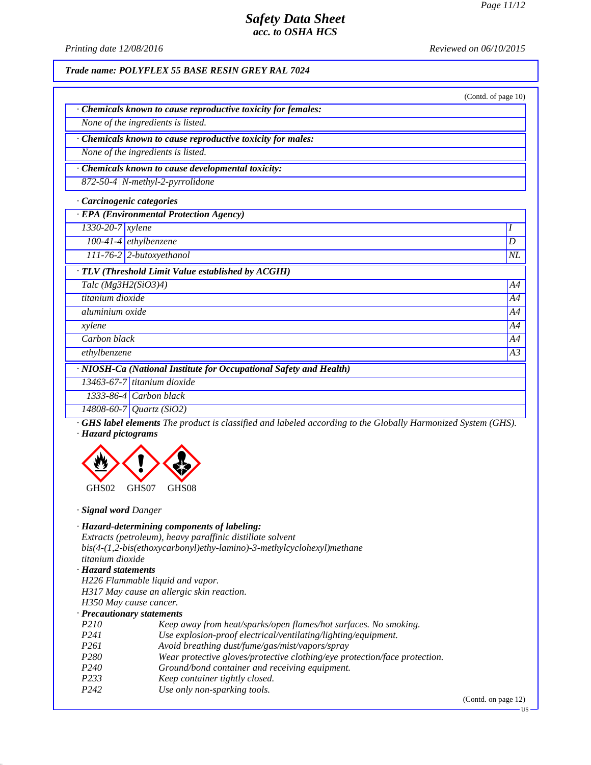*Printing date 12/08/2016 Reviewed on 06/10/2015*

*Trade name: POLYFLEX 55 BASE RESIN GREY RAL 7024*

|                                                                    | (Contd. of page 10) |
|--------------------------------------------------------------------|---------------------|
| Chemicals known to cause reproductive toxicity for females:        |                     |
| None of the ingredients is listed.                                 |                     |
| Chemicals known to cause reproductive toxicity for males:          |                     |
| None of the ingredients is listed.                                 |                     |
| Chemicals known to cause developmental toxicity:                   |                     |
| 872-50-4 N-methyl-2-pyrrolidone                                    |                     |
| · Carcinogenic categories                                          |                     |
| · EPA (Environmental Protection Agency)                            |                     |
| 1330-20-7 xylene                                                   | I                   |
| $100-41-4$ ethylbenzene                                            | D                   |
| 111-76-2 2-butoxyethanol                                           | NL                  |
| · TLV (Threshold Limit Value established by ACGIH)                 |                     |
| Talc $(Mg3H2(SiO3)4)$                                              | A4                  |
| titanium dioxide                                                   | A4                  |
| aluminium oxide                                                    | A4                  |
| xylene                                                             | A4                  |
| Carbon black                                                       | A4                  |
| ethylbenzene                                                       | A3                  |
| · NIOSH-Ca (National Institute for Occupational Safety and Health) |                     |
| $13463 - 67 - 7$ titanium dioxide                                  |                     |
| 1333-86-4 Carbon black                                             |                     |
| 14808-60-7 Quartz (SiO2)                                           |                     |

*· GHS label elements The product is classified and labeled according to the Globally Harmonized System (GHS). · Hazard pictograms*



*· Signal word Danger*

| · Hazard-determining components of labeling:                            |
|-------------------------------------------------------------------------|
| Extracts (petroleum), heavy paraffinic distillate solvent               |
| $bis(4-(1,2-bis(ethoxycarbonyl)ethy-lamino)-3-methylcyclohexyl) method$ |
| titanium dioxide                                                        |
|                                                                         |

### *· Hazard statements*

*H226 Flammable liquid and vapor. H317 May cause an allergic skin reaction.*

#### *H350 May cause cancer. · Precautionary statements*

| I recumunium y simements |                                                                            |
|--------------------------|----------------------------------------------------------------------------|
| P <sub>210</sub>         | Keep away from heat/sparks/open flames/hot surfaces. No smoking.           |
| P <sub>24</sub> 1        | Use explosion-proof electrical/ventilating/lighting/equipment.             |
| P261                     | Avoid breathing dust/fume/gas/mist/vapors/spray                            |
| P <sub>280</sub>         | Wear protective gloves/protective clothing/eye protection/face protection. |
| P <sub>240</sub>         | Ground/bond container and receiving equipment.                             |
| P <sub>2</sub> 33        | Keep container tightly closed.                                             |
| P <sub>242</sub>         | Use only non-sparking tools.                                               |
|                          |                                                                            |

(Contd. on page 12)